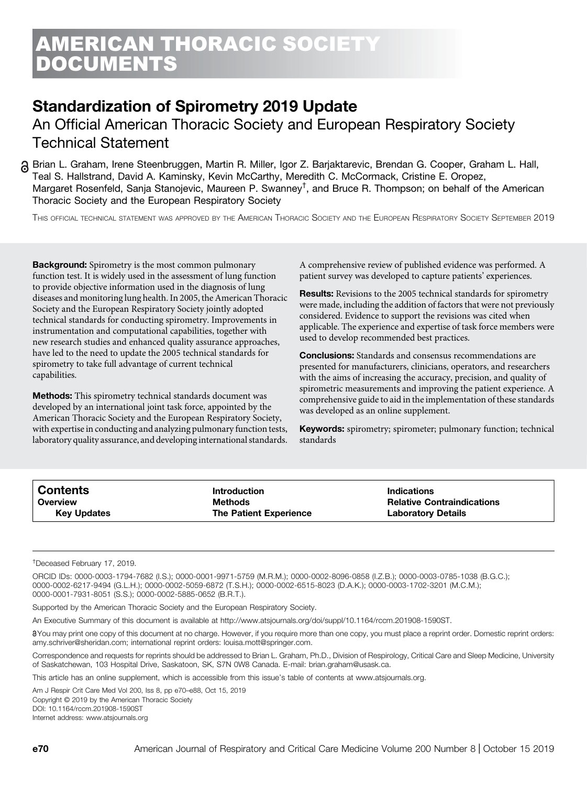# Standardization of Spirometry 2019 Update

An Official American Thoracic Society and European Respiratory Society Technical Statement

Brian L. Graham, Irene Steenbruggen, Martin R. Miller, Igor Z. Barjaktarevic, Brendan G. Cooper, Graham L. Hall, Teal S. Hallstrand, David A. Kaminsky, Kevin McCarthy, Meredith C. McCormack, Cristine E. Oropez, Margaret Rosenfeld, Sanja Stanojevic, Maureen P. Swanney† , and Bruce R. Thompson; on behalf of the American Thoracic Society and the European Respiratory Society

THIS OFFICIAL TECHNICAL STATEMENT WAS APPROVED BY THE AMERICAN THORACIC SOCIETY AND THE EUROPEAN RESPIRATORY SOCIETY SEPTEMBER 2019

**Background:** Spirometry is the most common pulmonary function test. It is widely used in the assessment of lung function to provide objective information used in the diagnosis of lung diseases and monitoring lung health. In 2005, the American Thoracic Society and the European Respiratory Society jointly adopted technical standards for conducting spirometry. Improvements in instrumentation and computational capabilities, together with new research studies and enhanced quality assurance approaches, have led to the need to update the 2005 technical standards for spirometry to take full advantage of current technical capabilities.

Methods: This spirometry technical standards document was developed by an international joint task force, appointed by the American Thoracic Society and the European Respiratory Society, with expertise in conducting and analyzing pulmonary function tests, laboratory quality assurance, and developing international standards. A comprehensive review of published evidence was performed. A patient survey was developed to capture patients' experiences.

Results: Revisions to the 2005 technical standards for spirometry were made, including the addition of factors that were not previously considered. Evidence to support the revisions was cited when applicable. The experience and expertise of task force members were used to develop recommended best practices.

**Conclusions:** Standards and consensus recommendations are presented for manufacturers, clinicians, operators, and researchers with the aims of increasing the accuracy, precision, and quality of spirometric measurements and improving the patient experience. A comprehensive guide to aid in the implementation of these standards was developed as an online supplement.

**Keywords:** spirometry; spirometer; pulmonary function; technical standards

| <b>Contents</b>    | <b>Introduction</b>           | <b>Indications</b>                |
|--------------------|-------------------------------|-----------------------------------|
| Overview           | Methods                       | <b>Relative Contraindications</b> |
| <b>Key Updates</b> | <b>The Patient Experience</b> | <b>Laboratory Details</b>         |

† Deceased February 17, 2019.

ORCID IDs: [0000-0003-1794-7682](http://orcid.org/0000-0003-1794-7682) (I.S.); [0000-0001-9971-5759](http://orcid.org/0000-0001-9971-5759) (M.R.M.); [0000-0002-8096-0858](http://orcid.org/0000-0002-8096-0858) (I.Z.B.); [0000-0003-0785-1038](http://orcid.org/0000-0003-0785-1038) (B.G.C.); [0000-0002-6217-9494](http://orcid.org/0000-0002-6217-9494) (G.L.H.); [0000-0002-5059-6872](http://orcid.org/0000-0002-5059-6872) (T.S.H.); [0000-0002-6515-8023](http://orcid.org/0000-0002-6515-8023) (D.A.K.); [0000-0003-1702-3201](http://orcid.org/0000-0003-1702-3201) (M.C.M.); [0000-0001-7931-8051](http://orcid.org/0000-0001-7931-8051) (S.S.); [0000-0002-5885-0652](http://orcid.org/0000-0002-5885-0652) (B.R.T.).

Supported by the American Thoracic Society and the European Respiratory Society.

An Executive Summary of this document is available at<http://www.atsjournals.org/doi/suppl/10.1164/rccm.201908-1590ST>.

8You may print one copy of this document at no charge. However, if you require more than one copy, you must place a reprint order. Domestic reprint orders: [amy.schriver@sheridan.com;](mailto:amy.schriver@sheridan.com) international reprint orders: [louisa.mott@springer.com.](mailto:louisa.mott@springer.com)

Correspondence and requests for reprints should be addressed to Brian L. Graham, Ph.D., Division of Respirology, Critical Care and Sleep Medicine, University of Saskatchewan, 103 Hospital Drive, Saskatoon, SK, S7N 0W8 Canada. E-mail: [brian.graham@usask.ca.](mailto:brian.graham@usask.ca)

This article has an online supplement, which is accessible from this issue's table of contents at [www.atsjournals.org.](http://www.atsjournals.org)

Am J Respir Crit Care Med Vol 200, Iss 8, pp e70–e88, Oct 15, 2019 Copyright © 2019 by the American Thoracic Society DOI: [10.1164/rccm.201908-1590ST](http://dx.doi.org/10.1164/rccm.201908-1590ST) Internet address: [www.atsjournals.org](http://www.atsjournals.org)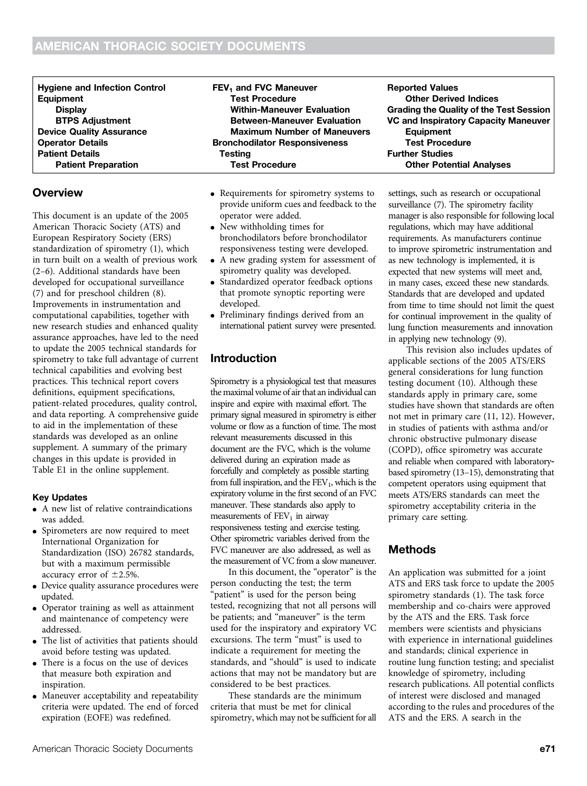| <b>Hygiene and Infection Control</b> | FEV <sub>1</sub> and FVC Maneuver    | <b>Reported Values</b>                  |
|--------------------------------------|--------------------------------------|-----------------------------------------|
| Equipment                            | <b>Test Procedure</b>                | <b>Other Derived Indices</b>            |
| <b>Display</b>                       | <b>Within-Maneuver Evaluation</b>    | Grading the Quality of the Test Session |
| <b>BTPS Adjustment</b>               | <b>Between-Maneuver Evaluation</b>   | VC and Inspiratory Capacity Maneuver    |
| <b>Device Quality Assurance</b>      | <b>Maximum Number of Maneuvers</b>   | <b>Equipment</b>                        |
| <b>Operator Details</b>              | <b>Bronchodilator Responsiveness</b> | <b>Test Procedure</b>                   |
| <b>Patient Details</b>               | Testina                              | <b>Further Studies</b>                  |
| <b>Patient Preparation</b>           | <b>Test Procedure</b>                | <b>Other Potential Analyses</b>         |

### **Overview**

This document is an update of the 2005 American Thoracic Society (ATS) and European Respiratory Society (ERS) standardization of spirometry (1), which in turn built on a wealth of previous work (2–6). Additional standards have been developed for occupational surveillance (7) and for preschool children (8). Improvements in instrumentation and computational capabilities, together with new research studies and enhanced quality assurance approaches, have led to the need to update the 2005 technical standards for spirometry to take full advantage of current technical capabilities and evolving best practices. This technical report covers definitions, equipment specifications, patient-related procedures, quality control, and data reporting. A comprehensive guide to aid in the implementation of these standards was developed as an online supplement. A summary of the primary changes in this update is provided in Table E1 in the online supplement.

#### Key Updates

- A new list of relative contraindications was added.
- Spirometers are now required to meet International Organization for Standardization (ISO) 26782 standards, but with a maximum permissible accuracy error of  $\pm$ 2.5%.
- Device quality assurance procedures were updated.
- Operator training as well as attainment and maintenance of competency were addressed.
- The list of activities that patients should avoid before testing was updated.
- There is a focus on the use of devices that measure both expiration and inspiration.
- Maneuver acceptability and repeatability criteria were updated. The end of forced expiration (EOFE) was redefined.
- Requirements for spirometry systems to provide uniform cues and feedback to the operator were added.
- New withholding times for bronchodilators before bronchodilator responsiveness testing were developed.
- A new grading system for assessment of spirometry quality was developed.
- Standardized operator feedback options that promote synoptic reporting were developed.
- Preliminary findings derived from an international patient survey were presented.

### Introduction

Spirometry is a physiological test that measures the maximal volume of air that an individual can inspire and expire with maximal effort. The primary signal measured in spirometry is either volume or flow as a function of time. The most relevant measurements discussed in this document are the FVC, which is the volume delivered during an expiration made as forcefully and completely as possible starting from full inspiration, and the  $FEV<sub>1</sub>$ , which is the expiratory volume in the first second of an FVC maneuver. These standards also apply to measurements of  $FEV<sub>1</sub>$  in airway responsiveness testing and exercise testing. Other spirometric variables derived from the FVC maneuver are also addressed, as well as the measurement of VC from a slow maneuver.

In this document, the "operator" is the person conducting the test; the term "patient" is used for the person being tested, recognizing that not all persons will be patients; and "maneuver" is the term used for the inspiratory and expiratory VC excursions. The term "must" is used to indicate a requirement for meeting the standards, and "should" is used to indicate actions that may not be mandatory but are considered to be best practices.

These standards are the minimum criteria that must be met for clinical spirometry, which may not be sufficient for all

settings, such as research or occupational surveillance (7). The spirometry facility manager is also responsible for following local regulations, which may have additional requirements. As manufacturers continue to improve spirometric instrumentation and as new technology is implemented, it is expected that new systems will meet and, in many cases, exceed these new standards. Standards that are developed and updated from time to time should not limit the quest for continual improvement in the quality of lung function measurements and innovation in applying new technology (9). This revision also includes updates of

applicable sections of the 2005 ATS/ERS general considerations for lung function testing document (10). Although these standards apply in primary care, some studies have shown that standards are often not met in primary care (11, 12). However, in studies of patients with asthma and/or chronic obstructive pulmonary disease (COPD), office spirometry was accurate and reliable when compared with laboratory‐ based spirometry (13–15), demonstrating that competent operators using equipment that meets ATS/ERS standards can meet the spirometry acceptability criteria in the primary care setting.

## Methods

An application was submitted for a joint ATS and ERS task force to update the 2005 spirometry standards (1). The task force membership and co-chairs were approved by the ATS and the ERS. Task force members were scientists and physicians with experience in international guidelines and standards; clinical experience in routine lung function testing; and specialist knowledge of spirometry, including research publications. All potential conflicts of interest were disclosed and managed according to the rules and procedures of the ATS and the ERS. A search in the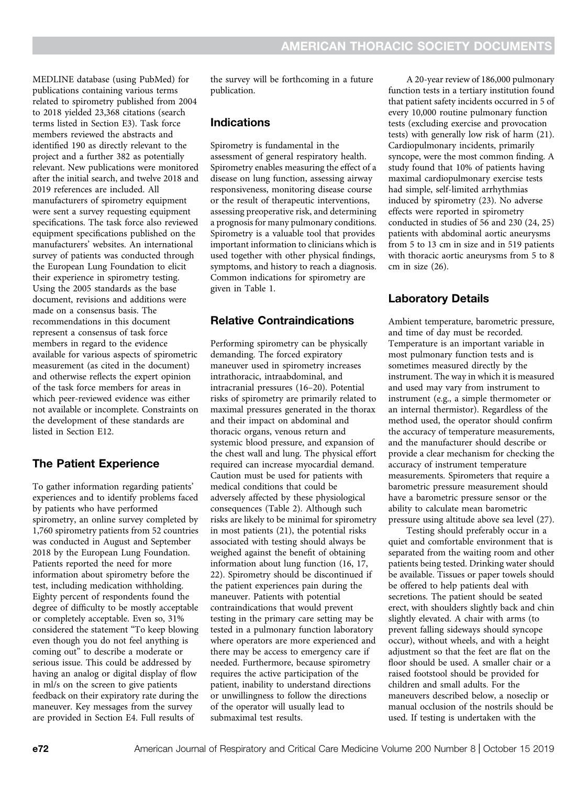MEDLINE database (using PubMed) for publications containing various terms related to spirometry published from 2004 to 2018 yielded 23,368 citations (search terms listed in Section E3). Task force members reviewed the abstracts and identified 190 as directly relevant to the project and a further 382 as potentially relevant. New publications were monitored after the initial search, and twelve 2018 and 2019 references are included. All manufacturers of spirometry equipment were sent a survey requesting equipment specifications. The task force also reviewed equipment specifications published on the manufacturers' websites. An international survey of patients was conducted through the European Lung Foundation to elicit their experience in spirometry testing. Using the 2005 standards as the base document, revisions and additions were made on a consensus basis. The recommendations in this document represent a consensus of task force members in regard to the evidence available for various aspects of spirometric measurement (as cited in the document) and otherwise reflects the expert opinion of the task force members for areas in which peer-reviewed evidence was either not available or incomplete. Constraints on the development of these standards are listed in Section E12.

### The Patient Experience

To gather information regarding patients' experiences and to identify problems faced by patients who have performed spirometry, an online survey completed by 1,760 spirometry patients from 52 countries was conducted in August and September 2018 by the European Lung Foundation. Patients reported the need for more information about spirometry before the test, including medication withholding. Eighty percent of respondents found the degree of difficulty to be mostly acceptable or completely acceptable. Even so, 31% considered the statement "To keep blowing even though you do not feel anything is coming out" to describe a moderate or serious issue. This could be addressed by having an analog or digital display of flow in ml/s on the screen to give patients feedback on their expiratory rate during the maneuver. Key messages from the survey are provided in Section E4. Full results of

the survey will be forthcoming in a future publication.

### Indications

Spirometry is fundamental in the assessment of general respiratory health. Spirometry enables measuring the effect of a disease on lung function, assessing airway responsiveness, monitoring disease course or the result of therapeutic interventions, assessing preoperative risk, and determining a prognosis for many pulmonary conditions. Spirometry is a valuable tool that provides important information to clinicians which is used together with other physical findings, symptoms, and history to reach a diagnosis. Common indications for spirometry are given in Table 1.

### Relative Contraindications

Performing spirometry can be physically demanding. The forced expiratory maneuver used in spirometry increases intrathoracic, intraabdominal, and intracranial pressures (16–20). Potential risks of spirometry are primarily related to maximal pressures generated in the thorax and their impact on abdominal and thoracic organs, venous return and systemic blood pressure, and expansion of the chest wall and lung. The physical effort required can increase myocardial demand. Caution must be used for patients with medical conditions that could be adversely affected by these physiological consequences (Table 2). Although such risks are likely to be minimal for spirometry in most patients (21), the potential risks associated with testing should always be weighed against the benefit of obtaining information about lung function (16, 17, 22). Spirometry should be discontinued if the patient experiences pain during the maneuver. Patients with potential contraindications that would prevent testing in the primary care setting may be tested in a pulmonary function laboratory where operators are more experienced and there may be access to emergency care if needed. Furthermore, because spirometry requires the active participation of the patient, inability to understand directions or unwillingness to follow the directions of the operator will usually lead to submaximal test results.

A 20-year review of 186,000 pulmonary function tests in a tertiary institution found that patient safety incidents occurred in 5 of every 10,000 routine pulmonary function tests (excluding exercise and provocation tests) with generally low risk of harm (21). Cardiopulmonary incidents, primarily syncope, were the most common finding. A study found that 10% of patients having maximal cardiopulmonary exercise tests had simple, self-limited arrhythmias induced by spirometry (23). No adverse effects were reported in spirometry conducted in studies of 56 and 230 (24, 25) patients with abdominal aortic aneurysms from 5 to 13 cm in size and in 519 patients with thoracic aortic aneurysms from 5 to 8 cm in size (26).

### Laboratory Details

Ambient temperature, barometric pressure, and time of day must be recorded. Temperature is an important variable in most pulmonary function tests and is sometimes measured directly by the instrument. The way in which it is measured and used may vary from instrument to instrument (e.g., a simple thermometer or an internal thermistor). Regardless of the method used, the operator should confirm the accuracy of temperature measurements, and the manufacturer should describe or provide a clear mechanism for checking the accuracy of instrument temperature measurements. Spirometers that require a barometric pressure measurement should have a barometric pressure sensor or the ability to calculate mean barometric pressure using altitude above sea level (27).

Testing should preferably occur in a quiet and comfortable environment that is separated from the waiting room and other patients being tested. Drinking water should be available. Tissues or paper towels should be offered to help patients deal with secretions. The patient should be seated erect, with shoulders slightly back and chin slightly elevated. A chair with arms (to prevent falling sideways should syncope occur), without wheels, and with a height adjustment so that the feet are flat on the floor should be used. A smaller chair or a raised footstool should be provided for children and small adults. For the maneuvers described below, a noseclip or manual occlusion of the nostrils should be used. If testing is undertaken with the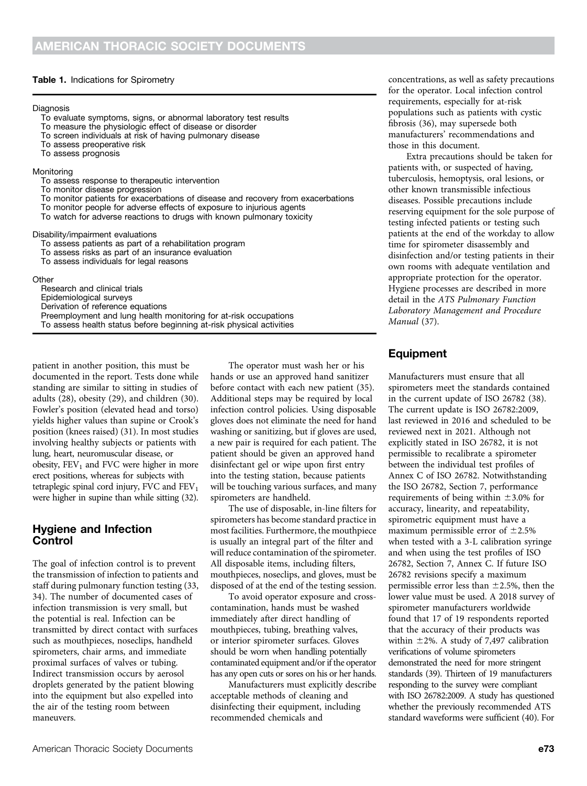#### Table 1. Indications for Spirometry

#### Diagnosis

- To evaluate symptoms, signs, or abnormal laboratory test results
- To measure the physiologic effect of disease or disorder
- To screen individuals at risk of having pulmonary disease
- To assess preoperative risk
- To assess prognosis

#### Monitoring

- To assess response to therapeutic intervention
- To monitor disease progression
- To monitor patients for exacerbations of disease and recovery from exacerbations
- To monitor people for adverse effects of exposure to injurious agents
- To watch for adverse reactions to drugs with known pulmonary toxicity

#### Disability/impairment evaluations

- To assess patients as part of a rehabilitation program
- To assess risks as part of an insurance evaluation
- To assess individuals for legal reasons

**Other** 

| וסוו.                                                                |
|----------------------------------------------------------------------|
| Research and clinical trials                                         |
| Epidemiological surveys                                              |
| Derivation of reference equations                                    |
| Preemployment and lung health monitoring for at-risk occupations     |
| To assess health status before beginning at-risk physical activities |
|                                                                      |

patient in another position, this must be documented in the report. Tests done while standing are similar to sitting in studies of adults (28), obesity (29), and children (30). Fowler's position (elevated head and torso) yields higher values than supine or Crook's position (knees raised) (31). In most studies involving healthy subjects or patients with lung, heart, neuromuscular disease, or obesity,  $FEV<sub>1</sub>$  and FVC were higher in more erect positions, whereas for subjects with tetraplegic spinal cord injury, FVC and  $FEV<sub>1</sub>$ were higher in supine than while sitting (32).

### Hygiene and Infection Control

The goal of infection control is to prevent the transmission of infection to patients and staff during pulmonary function testing (33, 34). The number of documented cases of infection transmission is very small, but the potential is real. Infection can be transmitted by direct contact with surfaces such as mouthpieces, noseclips, handheld spirometers, chair arms, and immediate proximal surfaces of valves or tubing. Indirect transmission occurs by aerosol droplets generated by the patient blowing into the equipment but also expelled into the air of the testing room between maneuvers.

The operator must wash her or his hands or use an approved hand sanitizer before contact with each new patient (35). Additional steps may be required by local infection control policies. Using disposable gloves does not eliminate the need for hand washing or sanitizing, but if gloves are used, a new pair is required for each patient. The patient should be given an approved hand disinfectant gel or wipe upon first entry into the testing station, because patients will be touching various surfaces, and many spirometers are handheld.

The use of disposable, in-line filters for spirometers has become standard practice in most facilities. Furthermore, the mouthpiece is usually an integral part of the filter and will reduce contamination of the spirometer. All disposable items, including filters, mouthpieces, noseclips, and gloves, must be disposed of at the end of the testing session.

To avoid operator exposure and crosscontamination, hands must be washed immediately after direct handling of mouthpieces, tubing, breathing valves, or interior spirometer surfaces. Gloves should be worn when handling potentially contaminated equipment and/or if the operator has any open cuts or sores on his or her hands.

Manufacturers must explicitly describe acceptable methods of cleaning and disinfecting their equipment, including recommended chemicals and

concentrations, as well as safety precautions for the operator. Local infection control requirements, especially for at-risk populations such as patients with cystic fibrosis (36), may supersede both manufacturers' recommendations and those in this document.

Extra precautions should be taken for patients with, or suspected of having, tuberculosis, hemoptysis, oral lesions, or other known transmissible infectious diseases. Possible precautions include reserving equipment for the sole purpose of testing infected patients or testing such patients at the end of the workday to allow time for spirometer disassembly and disinfection and/or testing patients in their own rooms with adequate ventilation and appropriate protection for the operator. Hygiene processes are described in more detail in the ATS Pulmonary Function Laboratory Management and Procedure Manual (37).

### Equipment

Manufacturers must ensure that all spirometers meet the standards contained in the current update of ISO 26782 (38). The current update is ISO 26782:2009, last reviewed in 2016 and scheduled to be reviewed next in 2021. Although not explicitly stated in ISO 26782, it is not permissible to recalibrate a spirometer between the individual test profiles of Annex C of ISO 26782. Notwithstanding the ISO 26782, Section 7, performance requirements of being within  $\pm$ 3.0% for accuracy, linearity, and repeatability, spirometric equipment must have a maximum permissible error of  $\pm 2.5\%$ when tested with a 3-L calibration syringe and when using the test profiles of ISO 26782, Section 7, Annex C. If future ISO 26782 revisions specify a maximum permissible error less than  $\pm$ 2.5%, then the lower value must be used. A 2018 survey of spirometer manufacturers worldwide found that 17 of 19 respondents reported that the accuracy of their products was within  $\pm 2\%$ . A study of 7,497 calibration verifications of volume spirometers demonstrated the need for more stringent standards (39). Thirteen of 19 manufacturers responding to the survey were compliant with ISO 26782:2009. A study has questioned whether the previously recommended ATS standard waveforms were sufficient (40). For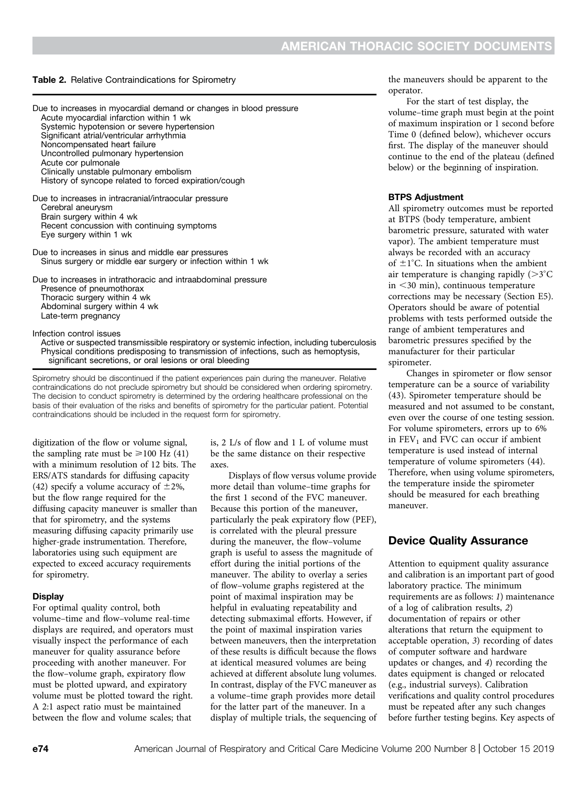#### Table 2. Relative Contraindications for Spirometry

| Due to increases in myocardial demand or changes in blood pressure<br>Acute myocardial infarction within 1 wk<br>Systemic hypotension or severe hypertension<br>Significant atrial/ventricular arrhythmia<br>Noncompensated heart failure<br>Uncontrolled pulmonary hypertension<br>Acute cor pulmonale<br>Clinically unstable pulmonary embolism<br>History of syncope related to forced expiration/cough |
|------------------------------------------------------------------------------------------------------------------------------------------------------------------------------------------------------------------------------------------------------------------------------------------------------------------------------------------------------------------------------------------------------------|
| Due to increases in intracranial/intraocular pressure<br>Cerebral aneurysm<br>Brain surgery within 4 wk<br>Recent concussion with continuing symptoms<br>Eye surgery within 1 wk                                                                                                                                                                                                                           |
| Due to increases in sinus and middle ear pressures<br>Sinus surgery or middle ear surgery or infection within 1 wk                                                                                                                                                                                                                                                                                         |
| Due to increases in intrathoracic and intraabdominal pressure<br>Presence of pneumothorax<br>Thoracic surgery within 4 wk<br>Abdominal surgery within 4 wk<br>Late-term pregnancy                                                                                                                                                                                                                          |
| Infection control issues<br>Active or suspected transmissible respiratory or systemic infection, incl                                                                                                                                                                                                                                                                                                      |

Active or suspected transmissible respiratory or systemic infection, including tuberculosis Physical conditions predisposing to transmission of infections, such as hemoptysis, significant secretions, or oral lesions or oral bleeding

Spirometry should be discontinued if the patient experiences pain during the maneuver. Relative contraindications do not preclude spirometry but should be considered when ordering spirometry. The decision to conduct spirometry is determined by the ordering healthcare professional on the basis of their evaluation of the risks and benefits of spirometry for the particular patient. Potential contraindications should be included in the request form for spirometry.

digitization of the flow or volume signal, the sampling rate must be  $\geq 100$  Hz (41) with a minimum resolution of 12 bits. The ERS/ATS standards for diffusing capacity (42) specify a volume accuracy of  $\pm 2\%$ , but the flow range required for the diffusing capacity maneuver is smaller than that for spirometry, and the systems measuring diffusing capacity primarily use higher-grade instrumentation. Therefore, laboratories using such equipment are expected to exceed accuracy requirements for spirometry.

#### **Display**

For optimal quality control, both volume–time and flow–volume real-time displays are required, and operators must visually inspect the performance of each maneuver for quality assurance before proceeding with another maneuver. For the flow–volume graph, expiratory flow must be plotted upward, and expiratory volume must be plotted toward the right. A 2:1 aspect ratio must be maintained between the flow and volume scales; that

is, 2 L/s of flow and 1 L of volume must be the same distance on their respective axes.

Displays of flow versus volume provide more detail than volume–time graphs for the first 1 second of the FVC maneuver. Because this portion of the maneuver, particularly the peak expiratory flow (PEF), is correlated with the pleural pressure during the maneuver, the flow–volume graph is useful to assess the magnitude of effort during the initial portions of the maneuver. The ability to overlay a series of flow–volume graphs registered at the point of maximal inspiration may be helpful in evaluating repeatability and detecting submaximal efforts. However, if the point of maximal inspiration varies between maneuvers, then the interpretation of these results is difficult because the flows at identical measured volumes are being achieved at different absolute lung volumes. In contrast, display of the FVC maneuver as a volume–time graph provides more detail for the latter part of the maneuver. In a display of multiple trials, the sequencing of the maneuvers should be apparent to the operator.

For the start of test display, the volume–time graph must begin at the point of maximum inspiration or 1 second before Time 0 (defined below), whichever occurs first. The display of the maneuver should continue to the end of the plateau (defined below) or the beginning of inspiration.

#### BTPS Adjustment

All spirometry outcomes must be reported at BTPS (body temperature, ambient barometric pressure, saturated with water vapor). The ambient temperature must always be recorded with an accuracy of  $\pm 1^{\circ}$ C. In situations when the ambient air temperature is changing rapidly  $(>\!\!3^{\circ}C$ in  $\leq$ 30 min), continuous temperature corrections may be necessary (Section E5). Operators should be aware of potential problems with tests performed outside the range of ambient temperatures and barometric pressures specified by the manufacturer for their particular spirometer.

Changes in spirometer or flow sensor temperature can be a source of variability (43). Spirometer temperature should be measured and not assumed to be constant, even over the course of one testing session. For volume spirometers, errors up to 6% in  $FEV<sub>1</sub>$  and FVC can occur if ambient temperature is used instead of internal temperature of volume spirometers (44). Therefore, when using volume spirometers, the temperature inside the spirometer should be measured for each breathing maneuver.

### Device Quality Assurance

Attention to equipment quality assurance and calibration is an important part of good laboratory practice. The minimum requirements are as follows: 1) maintenance of a log of calibration results, 2) documentation of repairs or other alterations that return the equipment to acceptable operation, 3) recording of dates of computer software and hardware updates or changes, and 4) recording the dates equipment is changed or relocated (e.g., industrial surveys). Calibration verifications and quality control procedures must be repeated after any such changes before further testing begins. Key aspects of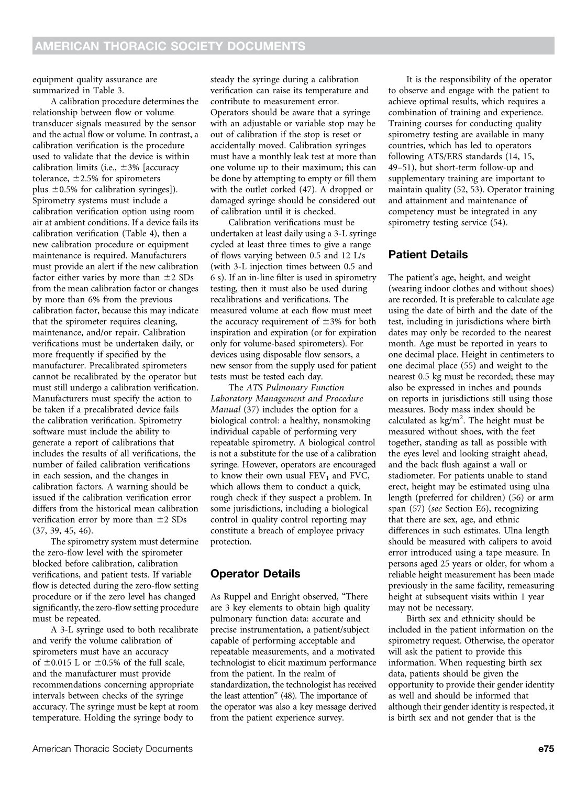equipment quality assurance are summarized in Table 3.

A calibration procedure determines the relationship between flow or volume transducer signals measured by the sensor and the actual flow or volume. In contrast, a calibration verification is the procedure used to validate that the device is within calibration limits (i.e.,  $\pm 3\%$  [accuracy tolerance,  $\pm$  2.5% for spirometers plus  $\pm$ 0.5% for calibration syringes]). Spirometry systems must include a calibration verification option using room air at ambient conditions. If a device fails its calibration verification (Table 4), then a new calibration procedure or equipment maintenance is required. Manufacturers must provide an alert if the new calibration factor either varies by more than  $\pm 2$  SDs from the mean calibration factor or changes by more than 6% from the previous calibration factor, because this may indicate that the spirometer requires cleaning, maintenance, and/or repair. Calibration verifications must be undertaken daily, or more frequently if specified by the manufacturer. Precalibrated spirometers cannot be recalibrated by the operator but must still undergo a calibration verification. Manufacturers must specify the action to be taken if a precalibrated device fails the calibration verification. Spirometry software must include the ability to generate a report of calibrations that includes the results of all verifications, the number of failed calibration verifications in each session, and the changes in calibration factors. A warning should be issued if the calibration verification error differs from the historical mean calibration verification error by more than  $\pm 2$  SDs (37, 39, 45, 46).

The spirometry system must determine the zero-flow level with the spirometer blocked before calibration, calibration verifications, and patient tests. If variable flow is detected during the zero-flow setting procedure or if the zero level has changed significantly, the zero-flow setting procedure must be repeated.

A 3-L syringe used to both recalibrate and verify the volume calibration of spirometers must have an accuracy of  $\pm 0.015$  L or  $\pm 0.5$ % of the full scale, and the manufacturer must provide recommendations concerning appropriate intervals between checks of the syringe accuracy. The syringe must be kept at room temperature. Holding the syringe body to

steady the syringe during a calibration verification can raise its temperature and contribute to measurement error. Operators should be aware that a syringe with an adjustable or variable stop may be out of calibration if the stop is reset or accidentally moved. Calibration syringes must have a monthly leak test at more than one volume up to their maximum; this can be done by attempting to empty or fill them with the outlet corked (47). A dropped or damaged syringe should be considered out of calibration until it is checked.

Calibration verifications must be undertaken at least daily using a 3-L syringe cycled at least three times to give a range of flows varying between 0.5 and 12 L/s (with 3-L injection times between 0.5 and 6 s). If an in-line filter is used in spirometry testing, then it must also be used during recalibrations and verifications. The measured volume at each flow must meet the accuracy requirement of  $\pm$ 3% for both inspiration and expiration (or for expiration only for volume-based spirometers). For devices using disposable flow sensors, a new sensor from the supply used for patient tests must be tested each day.

The ATS Pulmonary Function Laboratory Management and Procedure Manual (37) includes the option for a biological control: a healthy, nonsmoking individual capable of performing very repeatable spirometry. A biological control is not a substitute for the use of a calibration syringe. However, operators are encouraged to know their own usual  $FEV<sub>1</sub>$  and FVC, which allows them to conduct a quick, rough check if they suspect a problem. In some jurisdictions, including a biological control in quality control reporting may constitute a breach of employee privacy protection.

### Operator Details

As Ruppel and Enright observed, "There are 3 key elements to obtain high quality pulmonary function data: accurate and precise instrumentation, a patient/subject capable of performing acceptable and repeatable measurements, and a motivated technologist to elicit maximum performance from the patient. In the realm of standardization, the technologist has received the least attention" (48). The importance of the operator was also a key message derived from the patient experience survey.

It is the responsibility of the operator to observe and engage with the patient to achieve optimal results, which requires a combination of training and experience. Training courses for conducting quality spirometry testing are available in many countries, which has led to operators following ATS/ERS standards (14, 15, 49–51), but short-term follow-up and supplementary training are important to maintain quality (52, 53). Operator training and attainment and maintenance of competency must be integrated in any spirometry testing service (54).

### Patient Details

The patient's age, height, and weight (wearing indoor clothes and without shoes) are recorded. It is preferable to calculate age using the date of birth and the date of the test, including in jurisdictions where birth dates may only be recorded to the nearest month. Age must be reported in years to one decimal place. Height in centimeters to one decimal place (55) and weight to the nearest 0.5 kg must be recorded; these may also be expressed in inches and pounds on reports in jurisdictions still using those measures. Body mass index should be calculated as  $kg/m^2$ . The height must be measured without shoes, with the feet together, standing as tall as possible with the eyes level and looking straight ahead, and the back flush against a wall or stadiometer. For patients unable to stand erect, height may be estimated using ulna length (preferred for children) (56) or arm span (57) (see Section E6), recognizing that there are sex, age, and ethnic differences in such estimates. Ulna length should be measured with calipers to avoid error introduced using a tape measure. In persons aged 25 years or older, for whom a reliable height measurement has been made previously in the same facility, remeasuring height at subsequent visits within 1 year may not be necessary.

Birth sex and ethnicity should be included in the patient information on the spirometry request. Otherwise, the operator will ask the patient to provide this information. When requesting birth sex data, patients should be given the opportunity to provide their gender identity as well and should be informed that although their gender identity is respected, it is birth sex and not gender that is the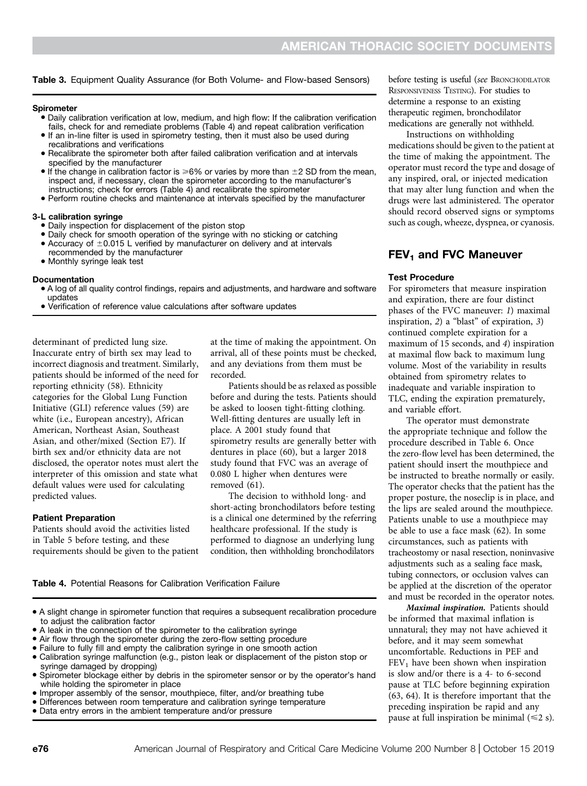Table 3. Equipment Quality Assurance (for Both Volume- and Flow-based Sensors)

#### Spirometer

- Daily calibration verification at low, medium, and high flow: If the calibration verification fails, check for and remediate problems (Table 4) and repeat calibration verification
- If an in-line filter is used in spirometry testing, then it must also be used during recalibrations and verifications
- Recalibrate the spirometer both after failed calibration verification and at intervals specified by the manufacturer
- $\bullet$  If the change in calibration factor is  $\geq 6\%$  or varies by more than  $\pm 2$  SD from the mean, inspect and, if necessary, clean the spirometer according to the manufacturer's instructions; check for errors (Table 4) and recalibrate the spirometer
- Perform routine checks and maintenance at intervals specified by the manufacturer

#### 3-L calibration syringe

- · Daily inspection for displacement of the piston stop
- Daily check for smooth operation of the syringe with no sticking or catching • Accuracy of  $\pm 0.015$  L verified by manufacturer on delivery and at intervals recommended by the manufacturer
- Monthly syringe leak test

#### Documentation

- A log of all quality control findings, repairs and adjustments, and hardware and software updates
- Verification of reference value calculations after software updates

determinant of predicted lung size. Inaccurate entry of birth sex may lead to incorrect diagnosis and treatment. Similarly, patients should be informed of the need for reporting ethnicity (58). Ethnicity categories for the Global Lung Function Initiative (GLI) reference values (59) are white (i.e., European ancestry), African American, Northeast Asian, Southeast Asian, and other/mixed (Section E7). If birth sex and/or ethnicity data are not disclosed, the operator notes must alert the interpreter of this omission and state what default values were used for calculating predicted values.

#### Patient Preparation

Patients should avoid the activities listed in Table 5 before testing, and these requirements should be given to the patient at the time of making the appointment. On arrival, all of these points must be checked, and any deviations from them must be recorded.

Patients should be as relaxed as possible before and during the tests. Patients should be asked to loosen tight-fitting clothing. Well-fitting dentures are usually left in place. A 2001 study found that spirometry results are generally better with dentures in place (60), but a larger 2018 study found that FVC was an average of 0.080 L higher when dentures were removed (61).

The decision to withhold long- and short-acting bronchodilators before testing is a clinical one determined by the referring healthcare professional. If the study is performed to diagnose an underlying lung condition, then withholding bronchodilators

Table 4. Potential Reasons for Calibration Verification Failure

- <sup>d</sup> A slight change in spirometer function that requires a subsequent recalibration procedure to adjust the calibration factor
- A leak in the connection of the spirometer to the calibration syringe
- Air flow through the spirometer during the zero-flow setting procedure
- Failure to fully fill and empty the calibration syringe in one smooth action
- Calibration syringe malfunction (e.g., piston leak or displacement of the piston stop or syringe damaged by dropping)
- Spirometer blockage either by debris in the spirometer sensor or by the operator's hand while holding the spirometer in place
- <sup>d</sup> Improper assembly of the sensor, mouthpiece, filter, and/or breathing tube
- Differences between room temperature and calibration syringe temperature
- Data entry errors in the ambient temperature and/or pressure

before testing is useful (see BRONCHODILATOR RESPONSIVENESS TESTING). For studies to determine a response to an existing therapeutic regimen, bronchodilator medications are generally not withheld.

Instructions on withholding medications should be given to the patient at the time of making the appointment. The operator must record the type and dosage of any inspired, oral, or injected medication that may alter lung function and when the drugs were last administered. The operator should record observed signs or symptoms such as cough, wheeze, dyspnea, or cyanosis.

#### $FEV<sub>1</sub>$  and FVC Maneuver

#### Test Procedure

For spirometers that measure inspiration and expiration, there are four distinct phases of the FVC maneuver: 1) maximal inspiration, 2) a "blast" of expiration, 3) continued complete expiration for a maximum of 15 seconds, and 4) inspiration at maximal flow back to maximum lung volume. Most of the variability in results obtained from spirometry relates to inadequate and variable inspiration to TLC, ending the expiration prematurely, and variable effort.

The operator must demonstrate the appropriate technique and follow the procedure described in Table 6. Once the zero-flow level has been determined, the patient should insert the mouthpiece and be instructed to breathe normally or easily. The operator checks that the patient has the proper posture, the noseclip is in place, and the lips are sealed around the mouthpiece. Patients unable to use a mouthpiece may be able to use a face mask (62). In some circumstances, such as patients with tracheostomy or nasal resection, noninvasive adjustments such as a sealing face mask, tubing connectors, or occlusion valves can be applied at the discretion of the operator and must be recorded in the operator notes.

Maximal inspiration. Patients should be informed that maximal inflation is unnatural; they may not have achieved it before, and it may seem somewhat uncomfortable. Reductions in PEF and  $FEV<sub>1</sub>$  have been shown when inspiration is slow and/or there is a 4- to 6-second pause at TLC before beginning expiration (63, 64). It is therefore important that the preceding inspiration be rapid and any pause at full inspiration be minimal  $(\leq 2 s)$ .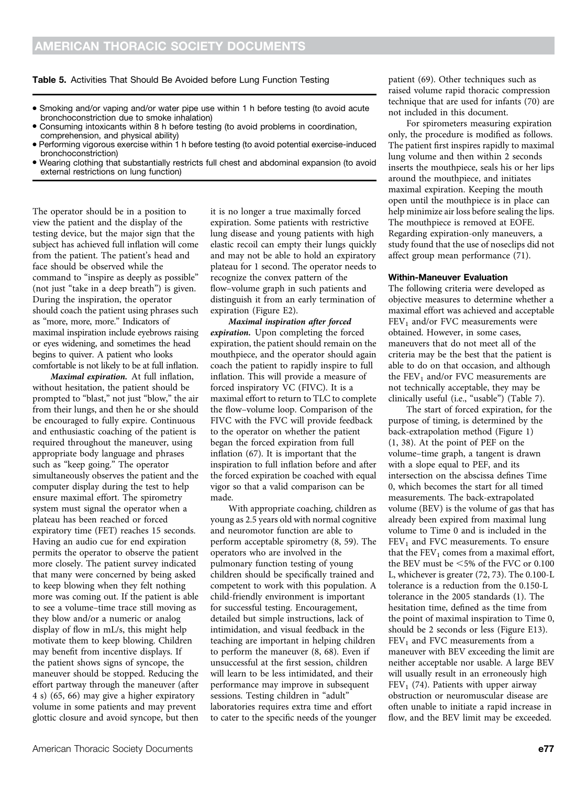Table 5. Activities That Should Be Avoided before Lung Function Testing

- Smoking and/or vaping and/or water pipe use within 1 h before testing (to avoid acute bronchoconstriction due to smoke inhalation)
- Consuming intoxicants within 8 h before testing (to avoid problems in coordination, comprehension, and physical ability)
- <sup>d</sup> Performing vigorous exercise within 1 h before testing (to avoid potential exercise-induced bronchoconstriction)
- <sup>d</sup> Wearing clothing that substantially restricts full chest and abdominal expansion (to avoid external restrictions on lung function)

The operator should be in a position to view the patient and the display of the testing device, but the major sign that the subject has achieved full inflation will come from the patient. The patient's head and face should be observed while the command to "inspire as deeply as possible" (not just "take in a deep breath") is given. During the inspiration, the operator should coach the patient using phrases such as "more, more, more." Indicators of maximal inspiration include eyebrows raising or eyes widening, and sometimes the head begins to quiver. A patient who looks comfortable is not likely to be at full inflation.

Maximal expiration. At full inflation, without hesitation, the patient should be prompted to "blast," not just "blow," the air from their lungs, and then he or she should be encouraged to fully expire. Continuous and enthusiastic coaching of the patient is required throughout the maneuver, using appropriate body language and phrases such as "keep going." The operator simultaneously observes the patient and the computer display during the test to help ensure maximal effort. The spirometry system must signal the operator when a plateau has been reached or forced expiratory time (FET) reaches 15 seconds. Having an audio cue for end expiration permits the operator to observe the patient more closely. The patient survey indicated that many were concerned by being asked to keep blowing when they felt nothing more was coming out. If the patient is able to see a volume–time trace still moving as they blow and/or a numeric or analog display of flow in mL/s, this might help motivate them to keep blowing. Children may benefit from incentive displays. If the patient shows signs of syncope, the maneuver should be stopped. Reducing the effort partway through the maneuver (after 4 s) (65, 66) may give a higher expiratory volume in some patients and may prevent glottic closure and avoid syncope, but then

it is no longer a true maximally forced expiration. Some patients with restrictive lung disease and young patients with high elastic recoil can empty their lungs quickly and may not be able to hold an expiratory plateau for 1 second. The operator needs to recognize the convex pattern of the flow–volume graph in such patients and distinguish it from an early termination of expiration (Figure E2).

Maximal inspiration after forced expiration. Upon completing the forced expiration, the patient should remain on the mouthpiece, and the operator should again coach the patient to rapidly inspire to full inflation. This will provide a measure of forced inspiratory VC (FIVC). It is a maximal effort to return to TLC to complete the flow–volume loop. Comparison of the FIVC with the FVC will provide feedback to the operator on whether the patient began the forced expiration from full inflation (67). It is important that the inspiration to full inflation before and after the forced expiration be coached with equal vigor so that a valid comparison can be made.

With appropriate coaching, children as young as 2.5 years old with normal cognitive and neuromotor function are able to perform acceptable spirometry (8, 59). The operators who are involved in the pulmonary function testing of young children should be specifically trained and competent to work with this population. A child-friendly environment is important for successful testing. Encouragement, detailed but simple instructions, lack of intimidation, and visual feedback in the teaching are important in helping children to perform the maneuver (8, 68). Even if unsuccessful at the first session, children will learn to be less intimidated, and their performance may improve in subsequent sessions. Testing children in "adult" laboratories requires extra time and effort to cater to the specific needs of the younger patient (69). Other techniques such as raised volume rapid thoracic compression technique that are used for infants (70) are not included in this document.

For spirometers measuring expiration only, the procedure is modified as follows. The patient first inspires rapidly to maximal lung volume and then within 2 seconds inserts the mouthpiece, seals his or her lips around the mouthpiece, and initiates maximal expiration. Keeping the mouth open until the mouthpiece is in place can help minimize air loss before sealing the lips. The mouthpiece is removed at EOFE. Regarding expiration-only maneuvers, a study found that the use of noseclips did not affect group mean performance (71).

#### Within-Maneuver Evaluation

The following criteria were developed as objective measures to determine whether a maximal effort was achieved and acceptable  $FEV<sub>1</sub>$  and/or FVC measurements were obtained. However, in some cases, maneuvers that do not meet all of the criteria may be the best that the patient is able to do on that occasion, and although the  $FEV<sub>1</sub>$  and/or FVC measurements are not technically acceptable, they may be clinically useful (i.e., "usable") (Table 7).

The start of forced expiration, for the purpose of timing, is determined by the back-extrapolation method (Figure 1) (1, 38). At the point of PEF on the volume–time graph, a tangent is drawn with a slope equal to PEF, and its intersection on the abscissa defines Time 0, which becomes the start for all timed measurements. The back-extrapolated volume (BEV) is the volume of gas that has already been expired from maximal lung volume to Time 0 and is included in the  $FEV<sub>1</sub>$  and FVC measurements. To ensure that the  $FEV<sub>1</sub>$  comes from a maximal effort, the BEV must be  $<5\%$  of the FVC or 0.100 L, whichever is greater (72, 73). The 0.100-L tolerance is a reduction from the 0.150-L tolerance in the 2005 standards (1). The hesitation time, defined as the time from the point of maximal inspiration to Time 0, should be 2 seconds or less (Figure E13).  $FEV<sub>1</sub>$  and FVC measurements from a maneuver with BEV exceeding the limit are neither acceptable nor usable. A large BEV will usually result in an erroneously high  $FEV<sub>1</sub>$  (74). Patients with upper airway obstruction or neuromuscular disease are often unable to initiate a rapid increase in flow, and the BEV limit may be exceeded.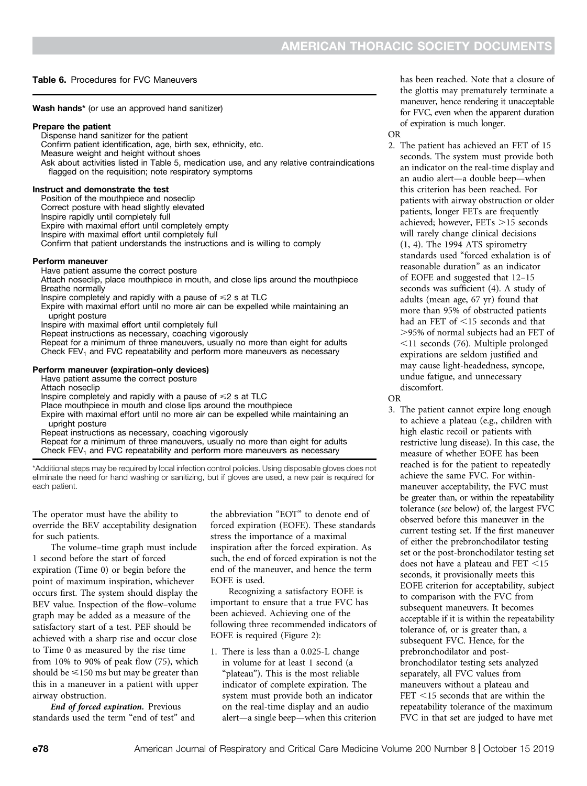#### Table 6. Procedures for FVC Maneuvers

Wash hands\* (or use an approved hand sanitizer)

#### Prepare the patient

Dispense hand sanitizer for the patient Confirm patient identification, age, birth sex, ethnicity, etc. Measure weight and height without shoes Ask about activities listed in Table 5, medication use, and any relative contraindications flagged on the requisition; note respiratory symptoms

#### Instruct and demonstrate the test

Position of the mouthpiece and noseclip Correct posture with head slightly elevated Inspire rapidly until completely full Expire with maximal effort until completely empty Inspire with maximal effort until completely full Confirm that patient understands the instructions and is willing to comply

#### Perform maneuver

Have patient assume the correct posture Attach noseclip, place mouthpiece in mouth, and close lips around the mouthpiece Breathe normally Inspire completely and rapidly with a pause of  $\leq 2$  s at TLC Expire with maximal effort until no more air can be expelled while maintaining an upright posture Inspire with maximal effort until completely full Repeat instructions as necessary, coaching vigorously Repeat for a minimum of three maneuvers, usually no more than eight for adults Check  $FEV<sub>1</sub>$  and FVC repeatability and perform more maneuvers as necessary Perform maneuver (expiration-only devices)

Have patient assume the correct posture Attach noseclip Inspire completely and rapidly with a pause of  $\leq 2$  s at TLC Place mouthpiece in mouth and close lips around the mouthpiece Expire with maximal effort until no more air can be expelled while maintaining an upright posture

Repeat instructions as necessary, coaching vigorously Repeat for a minimum of three maneuvers, usually no more than eight for adults

Check  $FEV<sub>1</sub>$  and FVC repeatability and perform more maneuvers as necessary

\*Additional steps may be required by local infection control policies. Using disposable gloves does not eliminate the need for hand washing or sanitizing, but if gloves are used, a new pair is required for each patient.

The operator must have the ability to override the BEV acceptability designation for such patients.

The volume–time graph must include 1 second before the start of forced expiration (Time 0) or begin before the point of maximum inspiration, whichever occurs first. The system should display the BEV value. Inspection of the flow–volume graph may be added as a measure of the satisfactory start of a test. PEF should be achieved with a sharp rise and occur close to Time 0 as measured by the rise time from 10% to 90% of peak flow (75), which should be  $\leq 150$  ms but may be greater than this in a maneuver in a patient with upper airway obstruction.

End of forced expiration. Previous standards used the term "end of test" and the abbreviation "EOT" to denote end of forced expiration (EOFE). These standards stress the importance of a maximal inspiration after the forced expiration. As such, the end of forced expiration is not the end of the maneuver, and hence the term EOFE is used.

Recognizing a satisfactory EOFE is important to ensure that a true FVC has been achieved. Achieving one of the following three recommended indicators of EOFE is required (Figure 2):

1. There is less than a 0.025-L change in volume for at least 1 second (a "plateau"). This is the most reliable indicator of complete expiration. The system must provide both an indicator on the real-time display and an audio alert—a single beep—when this criterion has been reached. Note that a closure of the glottis may prematurely terminate a maneuver, hence rendering it unacceptable for FVC, even when the apparent duration of expiration is much longer.

OR 2. The patient has achieved an FET of 15 seconds. The system must provide both an indicator on the real-time display and an audio alert—a double beep—when this criterion has been reached. For patients with airway obstruction or older patients, longer FETs are frequently achieved; however,  $FETs \geq 15$  seconds will rarely change clinical decisions (1, 4). The 1994 ATS spirometry standards used "forced exhalation is of reasonable duration" as an indicator of EOFE and suggested that 12–15 seconds was sufficient (4). A study of adults (mean age, 67 yr) found that more than 95% of obstructed patients had an FET of <15 seconds and that .95% of normal subjects had an FET of  $\leq$ 11 seconds (76). Multiple prolonged expirations are seldom justified and may cause light-headedness, syncope, undue fatigue, and unnecessary discomfort.

OR

3. The patient cannot expire long enough to achieve a plateau (e.g., children with high elastic recoil or patients with restrictive lung disease). In this case, the measure of whether EOFE has been reached is for the patient to repeatedly achieve the same FVC. For withinmaneuver acceptability, the FVC must be greater than, or within the repeatability tolerance (see below) of, the largest FVC observed before this maneuver in the current testing set. If the first maneuver of either the prebronchodilator testing set or the post-bronchodilator testing set does not have a plateau and FET  $<$ 15 seconds, it provisionally meets this EOFE criterion for acceptability, subject to comparison with the FVC from subsequent maneuvers. It becomes acceptable if it is within the repeatability tolerance of, or is greater than, a subsequent FVC. Hence, for the prebronchodilator and postbronchodilator testing sets analyzed separately, all FVC values from maneuvers without a plateau and  $FET < 15$  seconds that are within the repeatability tolerance of the maximum FVC in that set are judged to have met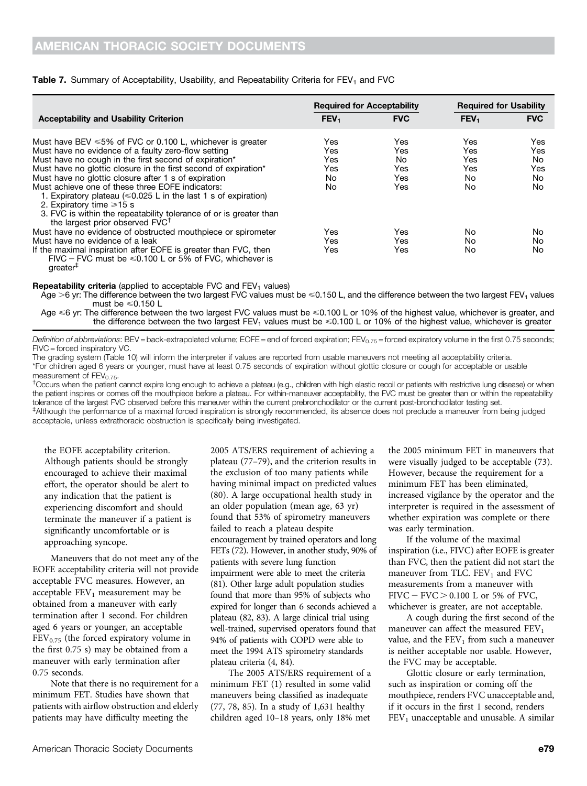#### Table 7. Summary of Acceptability, Usability, and Repeatability Criteria for FEV<sub>1</sub> and FVC

|                                                                                                                                                                                                                                                                                                                                                                                                                                                                                                                                                  | <b>Required for Acceptability</b>      |                                       | <b>Required for Usability</b>        |                                     |
|--------------------------------------------------------------------------------------------------------------------------------------------------------------------------------------------------------------------------------------------------------------------------------------------------------------------------------------------------------------------------------------------------------------------------------------------------------------------------------------------------------------------------------------------------|----------------------------------------|---------------------------------------|--------------------------------------|-------------------------------------|
| <b>Acceptability and Usability Criterion</b>                                                                                                                                                                                                                                                                                                                                                                                                                                                                                                     | FEV <sub>1</sub>                       | <b>FVC</b>                            | FEV <sub>1</sub>                     | <b>FVC</b>                          |
| Must have BEV $\leq 5\%$ of FVC or 0.100 L, whichever is greater<br>Must have no evidence of a faulty zero-flow setting<br>Must have no cough in the first second of expiration*<br>Must have no glottic closure in the first second of expiration*<br>Must have no glottic closure after 1 s of expiration<br>Must achieve one of these three EOFE indicators:<br>1. Expiratory plateau ( $\leq 0.025$ L in the last 1 s of expiration)<br>2. Expiratory time $\geq 15$ s<br>3. FVC is within the repeatability tolerance of or is greater than | Yes<br>Yes<br>Yes<br>Yes<br>No.<br>No. | Yes<br>Yes<br>No<br>Yes<br>Yes<br>Yes | Yes<br>Yes<br>Yes<br>Yes<br>No<br>No | Yes<br>Yes<br>No<br>Yes<br>No<br>No |
| the largest prior observed FVC <sup>T</sup><br>Must have no evidence of obstructed mouthpiece or spirometer<br>Must have no evidence of a leak<br>If the maximal inspiration after EOFE is greater than FVC, then<br>FIVC – FVC must be $\leq 0.100$ L or 5% of FVC, whichever is                                                                                                                                                                                                                                                                | Yes<br>Yes<br>Yes                      | Yes<br>Yes<br>Yes                     | No<br>No<br>No                       | No<br>No<br>No                      |

greater‡

**Repeatability criteria** (applied to acceptable FVC and  $FEV<sub>1</sub>$  values)

Age >6 yr: The difference between the two largest FVC values must be  $\leq 0.150$  L, and the difference between the two largest FEV<sub>1</sub> values must be  $\leq 0.150$  L

Age <6 yr: The difference between the two largest FVC values must be <0.100 L or 10% of the highest value, whichever is greater, and the difference between the two largest FEV<sub>1</sub> values must be  $\leq 0.100$  L or 10% of the highest value, whichever is greater

Definition of abbreviations: BEV = back-extrapolated volume; EOFE = end of forced expiration; FEV<sub>0.75</sub> = forced expiratory volume in the first 0.75 seconds; FIVC = forced inspiratory VC.

The grading system (Table 10) will inform the interpreter if values are reported from usable maneuvers not meeting all acceptability criteria. \*For children aged 6 years or younger, must have at least 0.75 seconds of expiration without glottic closure or cough for acceptable or usable measurement of  $FEV<sub>0.75</sub>$ .

<sup>†</sup>Occurs when the patient cannot expire long enough to achieve a plateau (e.g., children with high elastic recoil or patients with restrictive lung disease) or when the patient inspires or comes off the mouthpiece before a plateau. For within-maneuver acceptability, the FVC must be greater than or within the repeatability tolerance of the largest FVC observed before this maneuver within the current prebronchodilator or the current post-bronchodilator testing set. ‡ Although the performance of a maximal forced inspiration is strongly recommended, its absence does not preclude a maneuver from being judged acceptable, unless extrathoracic obstruction is specifically being investigated.

the EOFE acceptability criterion. Although patients should be strongly encouraged to achieve their maximal effort, the operator should be alert to any indication that the patient is experiencing discomfort and should terminate the maneuver if a patient is significantly uncomfortable or is approaching syncope.

Maneuvers that do not meet any of the EOFE acceptability criteria will not provide acceptable FVC measures. However, an acceptable  $FEV<sub>1</sub>$  measurement may be obtained from a maneuver with early termination after 1 second. For children aged 6 years or younger, an acceptable  $FEV<sub>0.75</sub>$  (the forced expiratory volume in the first 0.75 s) may be obtained from a maneuver with early termination after 0.75 seconds.

Note that there is no requirement for a minimum FET. Studies have shown that patients with airflow obstruction and elderly patients may have difficulty meeting the

2005 ATS/ERS requirement of achieving a plateau (77–79), and the criterion results in the exclusion of too many patients while having minimal impact on predicted values (80). A large occupational health study in an older population (mean age, 63 yr) found that 53% of spirometry maneuvers failed to reach a plateau despite encouragement by trained operators and long FETs (72). However, in another study, 90% of patients with severe lung function impairment were able to meet the criteria (81). Other large adult population studies found that more than 95% of subjects who expired for longer than 6 seconds achieved a plateau (82, 83). A large clinical trial using well-trained, supervised operators found that 94% of patients with COPD were able to meet the 1994 ATS spirometry standards plateau criteria (4, 84).

The 2005 ATS/ERS requirement of a minimum FET (1) resulted in some valid maneuvers being classified as inadequate (77, 78, 85). In a study of 1,631 healthy children aged 10–18 years, only 18% met

the 2005 minimum FET in maneuvers that were visually judged to be acceptable (73). However, because the requirement for a minimum FET has been eliminated, increased vigilance by the operator and the interpreter is required in the assessment of whether expiration was complete or there was early termination.

If the volume of the maximal inspiration (i.e., FIVC) after EOFE is greater than FVC, then the patient did not start the maneuver from TLC.  $FEV<sub>1</sub>$  and FVC measurements from a maneuver with  $FIVC - FVC > 0.100$  L or 5% of FVC, whichever is greater, are not acceptable.

A cough during the first second of the maneuver can affect the measured  $FEV<sub>1</sub>$ value, and the  $FEV<sub>1</sub>$  from such a maneuver is neither acceptable nor usable. However, the FVC may be acceptable.

Glottic closure or early termination, such as inspiration or coming off the mouthpiece, renders FVC unacceptable and, if it occurs in the first 1 second, renders  $FEV<sub>1</sub>$  unacceptable and unusable. A similar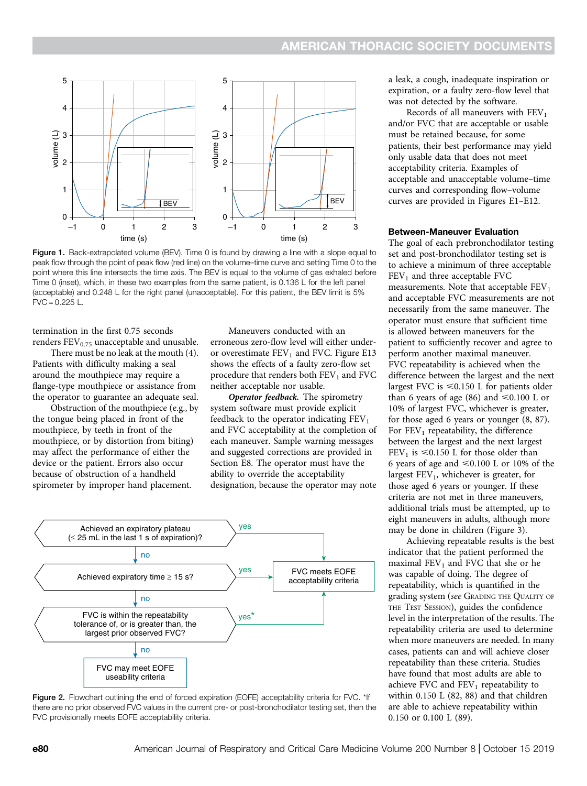

Figure 1. Back-extrapolated volume (BEV). Time 0 is found by drawing a line with a slope equal to peak flow through the point of peak flow (red line) on the volume–time curve and setting Time 0 to the point where this line intersects the time axis. The BEV is equal to the volume of gas exhaled before Time 0 (inset), which, in these two examples from the same patient, is 0.136 L for the left panel (acceptable) and 0.248 L for the right panel (unacceptable). For this patient, the BEV limit is 5%  $FVC = 0.225 L$ 

termination in the first 0.75 seconds renders  $FEV_{0.75}$  unacceptable and unusable.

There must be no leak at the mouth (4). Patients with difficulty making a seal around the mouthpiece may require a flange-type mouthpiece or assistance from the operator to guarantee an adequate seal.

Obstruction of the mouthpiece (e.g., by the tongue being placed in front of the mouthpiece, by teeth in front of the mouthpiece, or by distortion from biting) may affect the performance of either the device or the patient. Errors also occur because of obstruction of a handheld spirometer by improper hand placement.

Maneuvers conducted with an erroneous zero-flow level will either underor overestimate  $FEV<sub>1</sub>$  and FVC. Figure E13 shows the effects of a faulty zero-flow set procedure that renders both  $FEV<sub>1</sub>$  and  $FVC$ neither acceptable nor usable.

Operator feedback. The spirometry system software must provide explicit feedback to the operator indicating  $FEV<sub>1</sub>$ and FVC acceptability at the completion of each maneuver. Sample warning messages and suggested corrections are provided in Section E8. The operator must have the ability to override the acceptability designation, because the operator may note



Figure 2. Flowchart outlining the end of forced expiration (EOFE) acceptability criteria for FVC. \*If there are no prior observed FVC values in the current pre- or post-bronchodilator testing set, then the

a leak, a cough, inadequate inspiration or expiration, or a faulty zero-flow level that was not detected by the software.

Records of all maneuvers with  $FEV<sub>1</sub>$ and/or FVC that are acceptable or usable must be retained because, for some patients, their best performance may yield only usable data that does not meet acceptability criteria. Examples of acceptable and unacceptable volume–time curves and corresponding flow–volume curves are provided in Figures E1–E12.

#### Between-Maneuver Evaluation

The goal of each prebronchodilator testing set and post-bronchodilator testing set is to achieve a minimum of three acceptable  $FEV<sub>1</sub>$  and three acceptable FVC measurements. Note that acceptable  $FEV<sub>1</sub>$ and acceptable FVC measurements are not necessarily from the same maneuver. The operator must ensure that sufficient time is allowed between maneuvers for the patient to sufficiently recover and agree to perform another maximal maneuver. FVC repeatability is achieved when the difference between the largest and the next largest FVC is  $\leq 0.150$  L for patients older than 6 years of age (86) and  $\leq 0.100$  L or 10% of largest FVC, whichever is greater, for those aged 6 years or younger (8, 87). For  $FEV<sub>1</sub>$  repeatability, the difference between the largest and the next largest FEV<sub>1</sub> is  $\leq 0.150$  L for those older than 6 years of age and  $\leq 0.100$  L or 10% of the largest  $FEV<sub>1</sub>$ , whichever is greater, for those aged 6 years or younger. If these criteria are not met in three maneuvers, additional trials must be attempted, up to eight maneuvers in adults, although more may be done in children (Figure 3).

Achieving repeatable results is the best indicator that the patient performed the maximal  $FEV<sub>1</sub>$  and FVC that she or he was capable of doing. The degree of repeatability, which is quantified in the grading system (see GRADING THE QUALITY OF THE TEST SESSION), guides the confidence level in the interpretation of the results. The repeatability criteria are used to determine when more maneuvers are needed. In many cases, patients can and will achieve closer repeatability than these criteria. Studies have found that most adults are able to achieve FVC and  $FEV_1$  repeatability to within 0.150 L (82, 88) and that children are able to achieve repeatability within 0.150 or 0.100 L (89).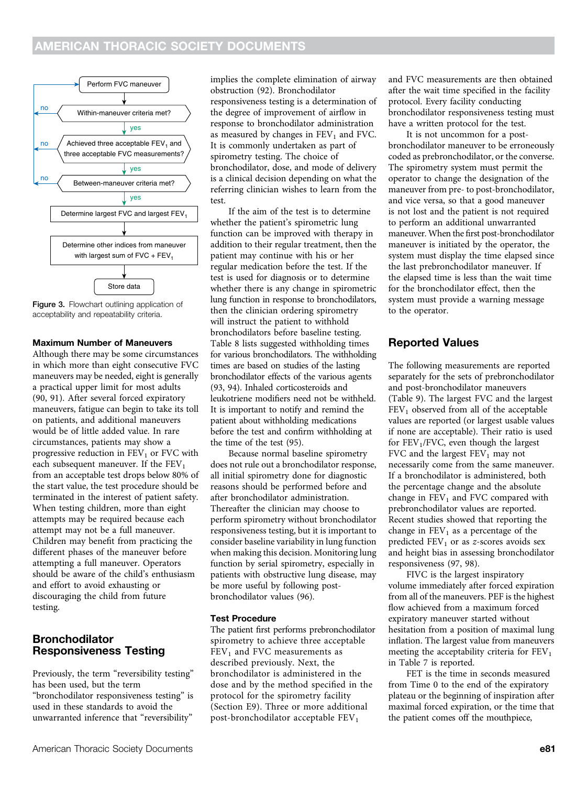

Figure 3. Flowchart outlining application of acceptability and repeatability criteria.

#### Maximum Number of Maneuvers

Although there may be some circumstances in which more than eight consecutive FVC maneuvers may be needed, eight is generally a practical upper limit for most adults (90, 91). After several forced expiratory maneuvers, fatigue can begin to take its toll on patients, and additional maneuvers would be of little added value. In rare circumstances, patients may show a progressive reduction in  $FEV<sub>1</sub>$  or FVC with each subsequent maneuver. If the  $FEV<sub>1</sub>$ from an acceptable test drops below 80% of the start value, the test procedure should be terminated in the interest of patient safety. When testing children, more than eight attempts may be required because each attempt may not be a full maneuver. Children may benefit from practicing the different phases of the maneuver before attempting a full maneuver. Operators should be aware of the child's enthusiasm and effort to avoid exhausting or discouraging the child from future testing.

### Bronchodilator Responsiveness Testing

Previously, the term "reversibility testing" has been used, but the term "bronchodilator responsiveness testing" is used in these standards to avoid the unwarranted inference that "reversibility"

implies the complete elimination of airway obstruction (92). Bronchodilator responsiveness testing is a determination of the degree of improvement of airflow in response to bronchodilator administration as measured by changes in  $FEV<sub>1</sub>$  and FVC. It is commonly undertaken as part of spirometry testing. The choice of bronchodilator, dose, and mode of delivery is a clinical decision depending on what the referring clinician wishes to learn from the test.

If the aim of the test is to determine whether the patient's spirometric lung function can be improved with therapy in addition to their regular treatment, then the patient may continue with his or her regular medication before the test. If the test is used for diagnosis or to determine whether there is any change in spirometric lung function in response to bronchodilators, then the clinician ordering spirometry will instruct the patient to withhold bronchodilators before baseline testing. Table 8 lists suggested withholding times for various bronchodilators. The withholding times are based on studies of the lasting bronchodilator effects of the various agents (93, 94). Inhaled corticosteroids and leukotriene modifiers need not be withheld. It is important to notify and remind the patient about withholding medications before the test and confirm withholding at the time of the test (95).

Because normal baseline spirometry does not rule out a bronchodilator response, all initial spirometry done for diagnostic reasons should be performed before and after bronchodilator administration. Thereafter the clinician may choose to perform spirometry without bronchodilator responsiveness testing, but it is important to consider baseline variability in lung function when making this decision. Monitoring lung function by serial spirometry, especially in patients with obstructive lung disease, may be more useful by following postbronchodilator values (96).

#### Test Procedure

The patient first performs prebronchodilator spirometry to achieve three acceptable  $FEV<sub>1</sub>$  and FVC measurements as described previously. Next, the bronchodilator is administered in the dose and by the method specified in the protocol for the spirometry facility (Section E9). Three or more additional post-bronchodilator acceptable  $FEV<sub>1</sub>$ 

and FVC measurements are then obtained after the wait time specified in the facility protocol. Every facility conducting bronchodilator responsiveness testing must have a written protocol for the test.

It is not uncommon for a postbronchodilator maneuver to be erroneously coded as prebronchodilator, or the converse. The spirometry system must permit the operator to change the designation of the maneuver from pre- to post-bronchodilator, and vice versa, so that a good maneuver is not lost and the patient is not required to perform an additional unwarranted maneuver. When the first post-bronchodilator maneuver is initiated by the operator, the system must display the time elapsed since the last prebronchodilator maneuver. If the elapsed time is less than the wait time for the bronchodilator effect, then the system must provide a warning message to the operator.

### Reported Values

The following measurements are reported separately for the sets of prebronchodilator and post-bronchodilator maneuvers (Table 9). The largest FVC and the largest  $FEV<sub>1</sub>$  observed from all of the acceptable values are reported (or largest usable values if none are acceptable). Their ratio is used for  $FEV<sub>1</sub>/FVC$ , even though the largest FVC and the largest  $\rm FEV_1$  may not necessarily come from the same maneuver. If a bronchodilator is administered, both the percentage change and the absolute change in  $FEV<sub>1</sub>$  and  $FVC$  compared with prebronchodilator values are reported. Recent studies showed that reporting the change in  $FEV<sub>1</sub>$  as a percentage of the predicted  $FEV_1$  or as z-scores avoids sex and height bias in assessing bronchodilator responsiveness (97, 98).

FIVC is the largest inspiratory volume immediately after forced expiration from all of the maneuvers. PEF is the highest flow achieved from a maximum forced expiratory maneuver started without hesitation from a position of maximal lung inflation. The largest value from maneuvers meeting the acceptability criteria for  $FEV<sub>1</sub>$ in Table 7 is reported.

FET is the time in seconds measured from Time 0 to the end of the expiratory plateau or the beginning of inspiration after maximal forced expiration, or the time that the patient comes off the mouthpiece,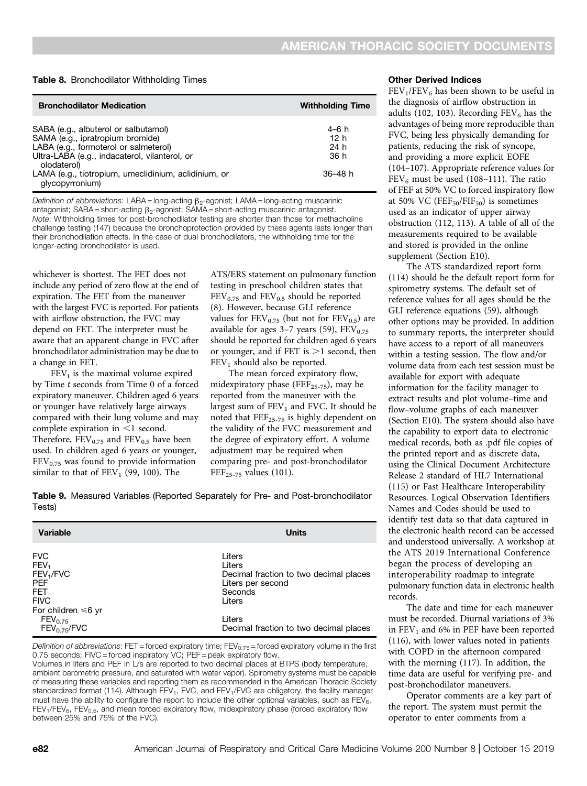#### Table 8. Bronchodilator Withholding Times

| <b>Bronchodilator Medication</b>                                                                                                                                                  | <b>Withholding Time</b>                  |
|-----------------------------------------------------------------------------------------------------------------------------------------------------------------------------------|------------------------------------------|
| SABA (e.g., albuterol or salbutamol)<br>SAMA (e.g., ipratropium bromide)<br>LABA (e.g., formoterol or salmeterol)<br>Ultra-LABA (e.g., indacaterol, vilanterol, or<br>olodaterol) | 4–6 h<br>12 <sub>h</sub><br>24 h<br>36 h |
| LAMA (e.g., tiotropium, umeclidinium, aclidinium, or<br>glycopyrronium)                                                                                                           | $36 - 48 h$                              |

Definition of abbreviations: LABA = long-acting  $\beta_2$ -agonist; LAMA = long-acting muscarinic antagonist; SABA = short-acting  $\beta_2$ -agonist; SAMA = short-acting muscarinic antagonist. Note: Withholding times for post-bronchodilator testing are shorter than those for methacholine challenge testing (147) because the bronchoprotection provided by these agents lasts longer than their bronchodilation effects. In the case of dual bronchodilators, the withholding time for the longer-acting bronchodilator is used.

whichever is shortest. The FET does not include any period of zero flow at the end of expiration. The FET from the maneuver with the largest FVC is reported. For patients with airflow obstruction, the FVC may depend on FET. The interpreter must be aware that an apparent change in FVC after bronchodilator administration may be due to a change in FET.

 $FEV<sub>t</sub>$  is the maximal volume expired by Time t seconds from Time 0 of a forced expiratory maneuver. Children aged 6 years or younger have relatively large airways compared with their lung volume and may complete expiration in  $\leq$ 1 second. Therefore,  $FEV_{0.75}$  and  $FEV_{0.5}$  have been used. In children aged 6 years or younger,  $FEV<sub>0.75</sub>$  was found to provide information similar to that of  $FEV<sub>1</sub>$  (99, 100). The

ATS/ERS statement on pulmonary function testing in preschool children states that  $FEV<sub>0.75</sub>$  and  $FEV<sub>0.5</sub>$  should be reported (8). However, because GLI reference values for  $FEV_{0.75}$  (but not for  $FEV_{0.5}$ ) are available for ages  $3-7$  years (59),  $FEV_{0.75}$ should be reported for children aged 6 years or younger, and if FET is  $>1$  second, then  $FEV<sub>1</sub>$  should also be reported.

The mean forced expiratory flow, midexpiratory phase (FEF<sub>25-75</sub>), may be reported from the maneuver with the largest sum of  $FEV<sub>1</sub>$  and FVC. It should be noted that FEF25-75 is highly dependent on the validity of the FVC measurement and the degree of expiratory effort. A volume adjustment may be required when comparing pre- and post-bronchodilator  $FEF_{25-75}$  values (101).

Table 9. Measured Variables (Reported Separately for Pre- and Post-bronchodilator Tests)

| <b>Variable</b>                                                                                                                | Units                                                                                                |
|--------------------------------------------------------------------------------------------------------------------------------|------------------------------------------------------------------------------------------------------|
| <b>FVC</b><br>FEV <sub>1</sub><br>FEV <sub>1</sub> /FVC<br><b>PEF</b><br><b>FET</b><br><b>FIVC</b><br>For children $\leq 6$ yr | Liters<br>Liters<br>Decimal fraction to two decimal places<br>Liters per second<br>Seconds<br>Liters |
| FEV <sub>0.75</sub><br>FEV <sub>0.75</sub> /FVC                                                                                | Liters<br>Decimal fraction to two decimal places                                                     |

Definition of abbreviations: FET = forced expiratory time; FEV<sub>0.75</sub> = forced expiratory volume in the first 0.75 seconds; FIVC = forced inspiratory VC; PEF = peak expiratory flow.

Volumes in liters and PEF in L/s are reported to two decimal places at BTPS (body temperature, ambient barometric pressure, and saturated with water vapor). Spirometry systems must be capable of measuring these variables and reporting them as recommended in the American Thoracic Society standardized format (114). Although FEV<sub>1</sub>, FVC, and FEV<sub>1</sub>/FVC are obligatory, the facility manager must have the ability to configure the report to include the other optional variables, such as  $FEV_{6}$ ,  $FEV<sub>1</sub>/FEV<sub>6</sub>, FEV<sub>0.5</sub>, and mean forced expiratory flow, midexpiratory phase (forced expiratory flow$ between 25% and 75% of the FVC).

#### Other Derived Indices

 $FEV<sub>1</sub>/FEV<sub>6</sub>$  has been shown to be useful in the diagnosis of airflow obstruction in adults (102, 103). Recording  $FEV_6$  has the advantages of being more reproducible than FVC, being less physically demanding for patients, reducing the risk of syncope, and providing a more explicit EOFE (104–107). Appropriate reference values for  $FEV<sub>6</sub>$  must be used (108–111). The ratio of FEF at 50% VC to forced inspiratory flow at 50% VC ( $\text{FEF}_{50}/\text{FIF}_{50}$ ) is sometimes used as an indicator of upper airway obstruction (112, 113). A table of all of the measurements required to be available and stored is provided in the online supplement (Section E10).

The ATS standardized report form (114) should be the default report form for spirometry systems. The default set of reference values for all ages should be the GLI reference equations (59), although other options may be provided. In addition to summary reports, the interpreter should have access to a report of all maneuvers within a testing session. The flow and/or volume data from each test session must be available for export with adequate information for the facility manager to extract results and plot volume–time and flow–volume graphs of each maneuver (Section E10). The system should also have the capability to export data to electronic medical records, both as .pdf file copies of the printed report and as discrete data, using the Clinical Document Architecture Release 2 standard of HL7 International (115) or Fast Healthcare Interoperability Resources. Logical Observation Identifiers Names and Codes should be used to identify test data so that data captured in the electronic health record can be accessed and understood universally. A workshop at the ATS 2019 International Conference began the process of developing an interoperability roadmap to integrate pulmonary function data in electronic health records.

The date and time for each maneuver must be recorded. Diurnal variations of 3% in  $FEV<sub>1</sub>$  and 6% in PEF have been reported (116), with lower values noted in patients with COPD in the afternoon compared with the morning (117). In addition, the time data are useful for verifying pre- and post-bronchodilator maneuvers.

Operator comments are a key part of the report. The system must permit the operator to enter comments from a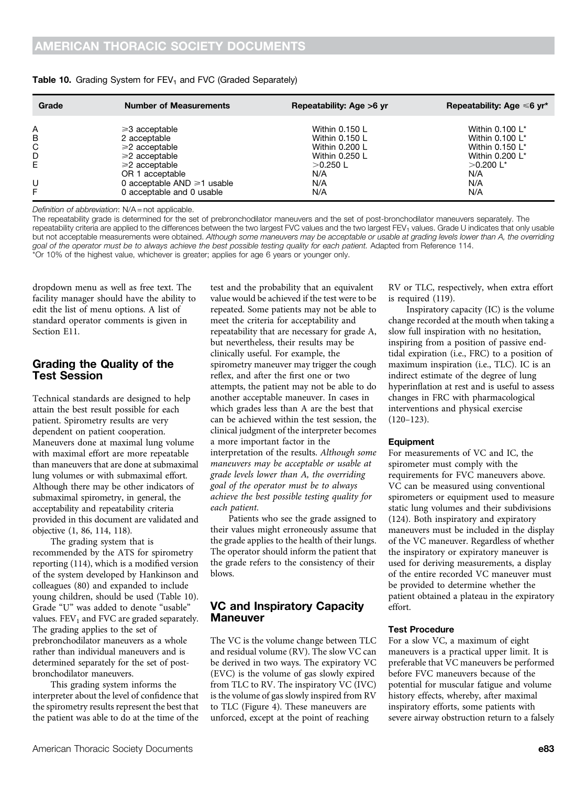| Grade | <b>Number of Measurements</b>   | Repeatability: Age >6 yr | Repeatability: Age $\leq 6$ yr <sup>*</sup> |
|-------|---------------------------------|--------------------------|---------------------------------------------|
| Α     | $\geq 3$ acceptable             | Within 0.150 L           | Within 0.100 L*                             |
| В     | 2 acceptable                    | Within 0.150 L           | Within 0.100 L*                             |
| C     | $\geq$ 2 acceptable             | Within 0.200 L           | Within 0.150 L*                             |
| D     | $\geq$ acceptable               | Within 0.250 L           | Within 0.200 L*                             |
| E     | $\geq$ 2 acceptable             | $>0.250$ L               | $>0.200$ L <sup>*</sup>                     |
|       | OR 1 acceptable                 | N/A                      | N/A                                         |
| U     | 0 acceptable $AND \ge 1$ usable | N/A                      | N/A                                         |
| F.    | 0 acceptable and 0 usable       | N/A                      | N/A                                         |

#### Table 10. Grading System for  $FEV<sub>1</sub>$  and FVC (Graded Separately)

Definition of abbreviation: N/A = not applicable.

The repeatability grade is determined for the set of prebronchodilator maneuvers and the set of post-bronchodilator maneuvers separately. The repeatability criteria are applied to the differences between the two largest FVC values and the two largest FEV<sub>1</sub> values. Grade U indicates that only usable but not acceptable measurements were obtained. Although some maneuvers may be acceptable or usable at grading levels lower than A, the overriding goal of the operator must be to always achieve the best possible testing quality for each patient. Adapted from Reference 114. \*Or 10% of the highest value, whichever is greater; applies for age 6 years or younger only.

dropdown menu as well as free text. The facility manager should have the ability to edit the list of menu options. A list of standard operator comments is given in Section E11.

### Grading the Quality of the Test Session

Technical standards are designed to help attain the best result possible for each patient. Spirometry results are very dependent on patient cooperation. Maneuvers done at maximal lung volume with maximal effort are more repeatable than maneuvers that are done at submaximal lung volumes or with submaximal effort. Although there may be other indicators of submaximal spirometry, in general, the acceptability and repeatability criteria provided in this document are validated and objective (1, 86, 114, 118).

The grading system that is recommended by the ATS for spirometry reporting (114), which is a modified version of the system developed by Hankinson and colleagues (80) and expanded to include young children, should be used (Table 10). Grade "U" was added to denote "usable" values.  $FEV<sub>1</sub>$  and FVC are graded separately. The grading applies to the set of prebronchodilator maneuvers as a whole rather than individual maneuvers and is determined separately for the set of postbronchodilator maneuvers.

This grading system informs the interpreter about the level of confidence that the spirometry results represent the best that the patient was able to do at the time of the

test and the probability that an equivalent value would be achieved if the test were to be repeated. Some patients may not be able to meet the criteria for acceptability and repeatability that are necessary for grade A, but nevertheless, their results may be clinically useful. For example, the spirometry maneuver may trigger the cough reflex, and after the first one or two attempts, the patient may not be able to do another acceptable maneuver. In cases in which grades less than A are the best that can be achieved within the test session, the clinical judgment of the interpreter becomes a more important factor in the interpretation of the results. Although some maneuvers may be acceptable or usable at grade levels lower than A, the overriding goal of the operator must be to always achieve the best possible testing quality for each patient.

Patients who see the grade assigned to their values might erroneously assume that the grade applies to the health of their lungs. The operator should inform the patient that the grade refers to the consistency of their blows.

### VC and Inspiratory Capacity Maneuver

The VC is the volume change between TLC and residual volume (RV). The slow VC can be derived in two ways. The expiratory VC (EVC) is the volume of gas slowly expired from TLC to RV. The inspiratory VC (IVC) is the volume of gas slowly inspired from RV to TLC (Figure 4). These maneuvers are unforced, except at the point of reaching

RV or TLC, respectively, when extra effort is required (119).

Inspiratory capacity (IC) is the volume change recorded at the mouth when taking a slow full inspiration with no hesitation, inspiring from a position of passive endtidal expiration (i.e., FRC) to a position of maximum inspiration (i.e., TLC). IC is an indirect estimate of the degree of lung hyperinflation at rest and is useful to assess changes in FRC with pharmacological interventions and physical exercise (120–123).

#### Equipment

For measurements of VC and IC, the spirometer must comply with the requirements for FVC maneuvers above. VC can be measured using conventional spirometers or equipment used to measure static lung volumes and their subdivisions (124). Both inspiratory and expiratory maneuvers must be included in the display of the VC maneuver. Regardless of whether the inspiratory or expiratory maneuver is used for deriving measurements, a display of the entire recorded VC maneuver must be provided to determine whether the patient obtained a plateau in the expiratory effort.

#### Test Procedure

For a slow VC, a maximum of eight maneuvers is a practical upper limit. It is preferable that VC maneuvers be performed before FVC maneuvers because of the potential for muscular fatigue and volume history effects, whereby, after maximal inspiratory efforts, some patients with severe airway obstruction return to a falsely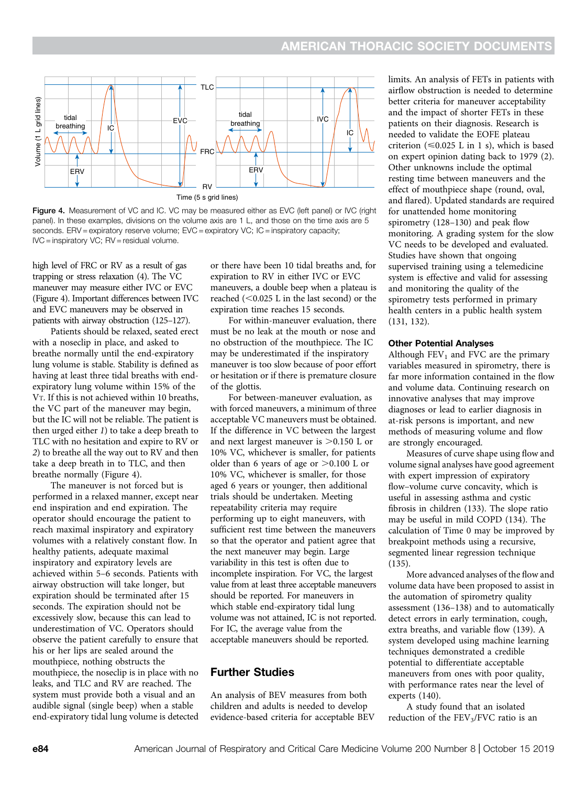

Time (5 s grid lines)

Figure 4. Measurement of VC and IC. VC may be measured either as EVC (left panel) or IVC (right panel). In these examples, divisions on the volume axis are 1 L, and those on the time axis are 5 seconds. ERV = expiratory reserve volume; EVC = expiratory VC; IC = inspiratory capacity; IVC = inspiratory VC; RV = residual volume.

high level of FRC or RV as a result of gas trapping or stress relaxation (4). The VC maneuver may measure either IVC or EVC (Figure 4). Important differences between IVC and EVC maneuvers may be observed in patients with airway obstruction (125–127).

Patients should be relaxed, seated erect with a noseclip in place, and asked to breathe normally until the end-expiratory lung volume is stable. Stability is defined as having at least three tidal breaths with endexpiratory lung volume within 15% of the VT. If this is not achieved within 10 breaths, the VC part of the maneuver may begin, but the IC will not be reliable. The patient is then urged either 1) to take a deep breath to TLC with no hesitation and expire to RV or 2) to breathe all the way out to RV and then take a deep breath in to TLC, and then breathe normally (Figure 4).

The maneuver is not forced but is performed in a relaxed manner, except near end inspiration and end expiration. The operator should encourage the patient to reach maximal inspiratory and expiratory volumes with a relatively constant flow. In healthy patients, adequate maximal inspiratory and expiratory levels are achieved within 5–6 seconds. Patients with airway obstruction will take longer, but expiration should be terminated after 15 seconds. The expiration should not be excessively slow, because this can lead to underestimation of VC. Operators should observe the patient carefully to ensure that his or her lips are sealed around the mouthpiece, nothing obstructs the mouthpiece, the noseclip is in place with no leaks, and TLC and RV are reached. The system must provide both a visual and an audible signal (single beep) when a stable end-expiratory tidal lung volume is detected

or there have been 10 tidal breaths and, for expiration to RV in either IVC or EVC maneuvers, a double beep when a plateau is reached  $(<0.025$  L in the last second) or the expiration time reaches 15 seconds.

For within-maneuver evaluation, there must be no leak at the mouth or nose and no obstruction of the mouthpiece. The IC may be underestimated if the inspiratory maneuver is too slow because of poor effort or hesitation or if there is premature closure of the glottis.

For between-maneuver evaluation, as with forced maneuvers, a minimum of three acceptable VC maneuvers must be obtained. If the difference in VC between the largest and next largest maneuver is  $>0.150$  L or 10% VC, whichever is smaller, for patients older than 6 years of age or  $>0.100$  L or 10% VC, whichever is smaller, for those aged 6 years or younger, then additional trials should be undertaken. Meeting repeatability criteria may require performing up to eight maneuvers, with sufficient rest time between the maneuvers so that the operator and patient agree that the next maneuver may begin. Large variability in this test is often due to incomplete inspiration. For VC, the largest value from at least three acceptable maneuvers should be reported. For maneuvers in which stable end-expiratory tidal lung volume was not attained, IC is not reported. For IC, the average value from the acceptable maneuvers should be reported.

### Further Studies

An analysis of BEV measures from both children and adults is needed to develop evidence-based criteria for acceptable BEV limits. An analysis of FETs in patients with airflow obstruction is needed to determine better criteria for maneuver acceptability and the impact of shorter FETs in these patients on their diagnosis. Research is needed to validate the EOFE plateau criterion ( $\leq 0.025$  L in 1 s), which is based on expert opinion dating back to 1979 (2). Other unknowns include the optimal resting time between maneuvers and the effect of mouthpiece shape (round, oval, and flared). Updated standards are required for unattended home monitoring spirometry (128–130) and peak flow monitoring. A grading system for the slow VC needs to be developed and evaluated. Studies have shown that ongoing supervised training using a telemedicine system is effective and valid for assessing and monitoring the quality of the spirometry tests performed in primary health centers in a public health system (131, 132).

#### Other Potential Analyses

Although  $FEV<sub>1</sub>$  and  $FVC$  are the primary variables measured in spirometry, there is far more information contained in the flow and volume data. Continuing research on innovative analyses that may improve diagnoses or lead to earlier diagnosis in at-risk persons is important, and new methods of measuring volume and flow are strongly encouraged.

Measures of curve shape using flow and volume signal analyses have good agreement with expert impression of expiratory flow–volume curve concavity, which is useful in assessing asthma and cystic fibrosis in children (133). The slope ratio may be useful in mild COPD (134). The calculation of Time 0 may be improved by breakpoint methods using a recursive, segmented linear regression technique (135).

More advanced analyses of the flow and volume data have been proposed to assist in the automation of spirometry quality assessment (136–138) and to automatically detect errors in early termination, cough, extra breaths, and variable flow (139). A system developed using machine learning techniques demonstrated a credible potential to differentiate acceptable maneuvers from ones with poor quality, with performance rates near the level of experts (140).

A study found that an isolated reduction of the  $FEV<sub>3</sub>/FVC$  ratio is an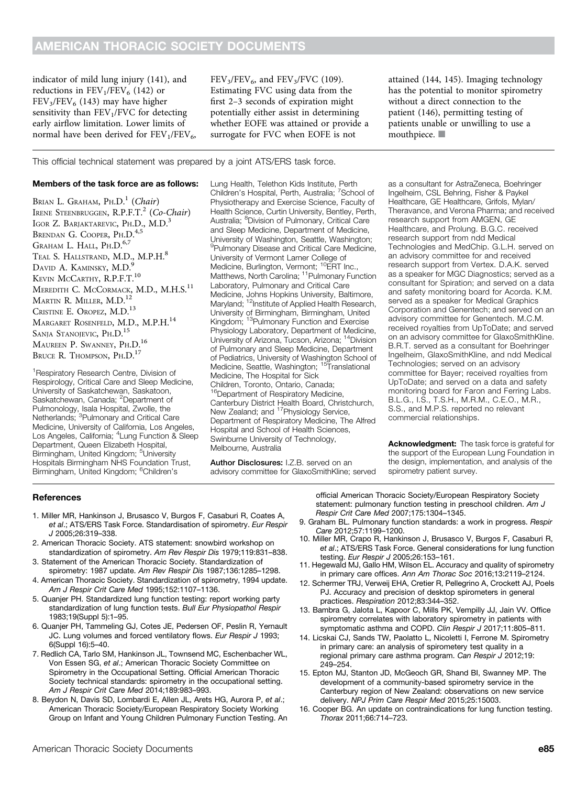indicator of mild lung injury (141), and reductions in  $FEV_1/FEV_6$  (142) or  $FEV<sub>3</sub>/FEV<sub>6</sub>$  (143) may have higher sensitivity than  $FEV<sub>1</sub>/FVC$  for detecting early airflow limitation. Lower limits of normal have been derived for  $FEV<sub>1</sub>/FEV<sub>6</sub>$ ,  $FEV<sub>3</sub>/FEV<sub>6</sub>$ , and  $FEV<sub>3</sub>/FVC$  (109). Estimating FVC using data from the first 2–3 seconds of expiration might potentially either assist in determining whether EOFE was attained or provide a surrogate for FVC when EOFE is not

#### This official technical statement was prepared by a joint ATS/ERS task force.

#### Members of the task force are as follows:

BRIAN L. GRAHAM,  $P_{H.D.}^{1}$  (Chair) IRENE STEENBRUGGEN, R.P.F.T.<sup>2</sup> (Co-Chair) IGOR Z. BARJAKTAREVIC, PH.D., M.D.<sup>3</sup> BRENDAN G. COOPER, PH.D.<sup>4,5</sup> GRAHAM L. HALL, PH.D.<sup>6,7</sup> TEAL S. HALLSTRAND, M.D., M.P.H.<sup>8</sup> DAVID A. KAMINSKY, M.D. KEVIN MCCARTHY, R.P.F.T.<sup>10</sup> MEREDITH C. McCORMACK, M.D., M.H.S.<sup>11</sup> MARTIN R. MILLER, M.D.<sup>12</sup> CRISTINE E. OROPEZ, M.D.<sup>13</sup> MARGARET ROSENFELD, M.D., M.P.H.<sup>14</sup> SANJA STANOJEVIC, PH.D.<sup>15</sup> MAUREEN P. SWANNEY, PH.D.<sup>16</sup> BRUCE R. THOMPSON, PH.D.<sup>17</sup>

<sup>1</sup>Respiratory Research Centre, Division of Respirology, Critical Care and Sleep Medicine, University of Saskatchewan, Saskatoon, Saskatchewan, Canada; <sup>2</sup>Department of Pulmonology, Isala Hospital, Zwolle, the<br>Netherlands; <sup>3</sup>Pulmonary and Critical Care Medicine, University of California, Los Angeles, Los Angeles, California; <sup>4</sup>Lung Function & Sleep Department, Queen Elizabeth Hospital, Birmingham, United Kingdom; <sup>5</sup>University Hospitals Birmingham NHS Foundation Trust, Birmingham, United Kingdom; <sup>6</sup>Children's

Lung Health, Telethon Kids Institute, Perth Children's Hospital, Perth, Australia; 7School of Physiotherapy and Exercise Science, Faculty of Health Science, Curtin University, Bentley, Perth, Australia; <sup>8</sup>Division of Pulmonary, Critical Care and Sleep Medicine, Department of Medicine, University of Washington, Seattle, Washington; <sup>9</sup>Pulmonary Disease and Critical Care Medicine, University of Vermont Larner College of Medicine, Burlington, Vermont; <sup>10</sup>ERT Inc., Matthews, North Carolina; <sup>11</sup>Pulmonary Function Laboratory, Pulmonary and Critical Care Medicine, Johns Hopkins University, Baltimore, Maryland; <sup>12</sup>Institute of Applied Health Research, University of Birmingham, Birmingham, United Kingdom; 13Pulmonary Function and Exercise Physiology Laboratory, Department of Medicine, University of Arizona, Tucson, Arizona; <sup>14</sup>Division of Pulmonary and Sleep Medicine, Department of Pediatrics, University of Washington School of<br>Medicine, Seattle, Washington; <sup>15</sup>Translational Medicine, The Hospital for Sick Children, Toronto, Ontario, Canada; <sup>16</sup>Department of Respiratory Medicine, Canterbury District Health Board, Christchurch, New Zealand; and <sup>17</sup>Physiology Service, Department of Respiratory Medicine, The Alfred Hospital and School of Health Sciences,

Author Disclosures: I.Z.B. served on an advisory committee for GlaxoSmithKline; served

Swinburne University of Technology,

Melbourne, Australia

attained (144, 145). Imaging technology has the potential to monitor spirometry without a direct connection to the patient (146), permitting testing of patients unable or unwilling to use a mouthpiece.  $\blacksquare$ 

as a consultant for AstraZeneca, Boehringer Ingelheim, CSL Behring, Fisher & Paykel Healthcare, GE Healthcare, Grifols, Mylan/ Theravance, and Verona Pharma; and received research support from AMGEN, GE Healthcare, and Prolung. B.G.C. received research support from ndd Medical Technologies and MedChip. G.L.H. served on an advisory committee for and received research support from Vertex. D.A.K. served as a speaker for MGC Diagnostics; served as a consultant for Spiration; and served on a data and safety monitoring board for Acorda. K.M. served as a speaker for Medical Graphics Corporation and Genentech; and served on an advisory committee for Genentech. M.C.M. received royalties from UpToDate; and served on an advisory committee for GlaxoSmithKline. B.R.T. served as a consultant for Boehringer Ingelheim, GlaxoSmithKline, and ndd Medical Technologies; served on an advisory committee for Bayer; received royalties from UpToDate; and served on a data and safety monitoring board for Faron and Ferring Labs. B.L.G., I.S., T.S.H., M.R.M., C.E.O., M.R., S.S., and M.P.S. reported no relevant commercial relationships.

Acknowledgment: The task force is grateful for the support of the European Lung Foundation in the design, implementation, and analysis of the spirometry patient survey.

#### **References**

- 1. Miller MR, Hankinson J, Brusasco V, Burgos F, Casaburi R, Coates A, et al.; ATS/ERS Task Force. Standardisation of spirometry. Eur Respir J 2005;26:319–338.
- 2. American Thoracic Society. ATS statement: snowbird workshop on standardization of spirometry. Am Rev Respir Dis 1979;119:831–838.
- 3. Statement of the American Thoracic Society. Standardization of spirometry: 1987 update. Am Rev Respir Dis 1987;136:1285–1298.
- 4. American Thoracic Society. Standardization of spirometry, 1994 update. Am J Respir Crit Care Med 1995;152:1107–1136.
- 5. Quanjer PH. Standardized lung function testing: report working party standardization of lung function tests. Bull Eur Physiopathol Respir 1983;19(Suppl 5):1–95.
- 6. Quanjer PH, Tammeling GJ, Cotes JE, Pedersen OF, Peslin R, Yernault JC. Lung volumes and forced ventilatory flows. Eur Respir J 1993; 6(Suppl 16):5–40.
- 7. Redlich CA, Tarlo SM, Hankinson JL, Townsend MC, Eschenbacher WL, Von Essen SG, et al.; American Thoracic Society Committee on Spirometry in the Occupational Setting. Official American Thoracic Society technical standards: spirometry in the occupational setting. Am J Respir Crit Care Med 2014;189:983–993.
- 8. Beydon N, Davis SD, Lombardi E, Allen JL, Arets HG, Aurora P, et al.; American Thoracic Society/European Respiratory Society Working Group on Infant and Young Children Pulmonary Function Testing. An

official American Thoracic Society/European Respiratory Society statement: pulmonary function testing in preschool children. Am J Respir Crit Care Med 2007;175:1304–1345.

- 9. Graham BL. Pulmonary function standards: a work in progress. Respir Care 2012;57:1199–1200.
- 10. Miller MR, Crapo R, Hankinson J, Brusasco V, Burgos F, Casaburi R, et al.; ATS/ERS Task Force. General considerations for lung function testing. Eur Respir J 2005;26:153–161.
- 11. Hegewald MJ, Gallo HM, Wilson EL. Accuracy and quality of spirometry in primary care offices. Ann Am Thorac Soc 2016;13:2119–2124.
- 12. Schermer TRJ, Verweij EHA, Cretier R, Pellegrino A, Crockett AJ, Poels PJ. Accuracy and precision of desktop spirometers in general practices. Respiration 2012;83:344–352.
- 13. Bambra G, Jalota L, Kapoor C, Mills PK, Vempilly JJ, Jain VV. Office spirometry correlates with laboratory spirometry in patients with symptomatic asthma and COPD. Clin Respir J 2017;11:805-811.
- 14. Licskai CJ, Sands TW, Paolatto L, Nicoletti I, Ferrone M. Spirometry in primary care: an analysis of spirometery test quality in a regional primary care asthma program. Can Respir J 2012;19: 249–254.
- 15. Epton MJ, Stanton JD, McGeoch GR, Shand BI, Swanney MP. The development of a community-based spirometry service in the Canterbury region of New Zealand: observations on new service delivery. NPJ Prim Care Respir Med 2015;25:15003.
- 16. Cooper BG. An update on contraindications for lung function testing. Thorax 2011;66:714–723.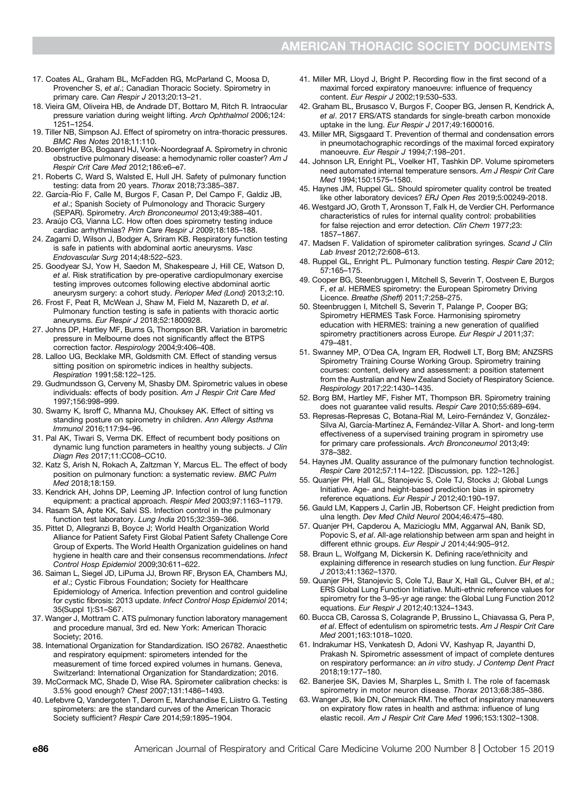- 17. Coates AL, Graham BL, McFadden RG, McParland C, Moosa D, Provencher S, et al.; Canadian Thoracic Society. Spirometry in primary care. Can Respir J 2013;20:13–21.
- 18. Vieira GM, Oliveira HB, de Andrade DT, Bottaro M, Ritch R. Intraocular pressure variation during weight lifting. Arch Ophthalmol 2006;124: 1251–1254.
- 19. Tiller NB, Simpson AJ. Effect of spirometry on intra-thoracic pressures. BMC Res Notes 2018;11:110.
- 20. Boerrigter BG, Bogaard HJ, Vonk-Noordegraaf A. Spirometry in chronic obstructive pulmonary disease: a hemodynamic roller coaster? Am J Respir Crit Care Med 2012;186:e6–e7.
- 21. Roberts C, Ward S, Walsted E, Hull JH. Safety of pulmonary function testing: data from 20 years. Thorax 2018;73:385–387.
- 22. García-Río F, Calle M, Burgos F, Casan P, Del Campo F, Galdiz JB, et al.; Spanish Society of Pulmonology and Thoracic Surgery (SEPAR). Spirometry. Arch Bronconeumol 2013;49:388–401.
- 23. Araújo CG, Vianna LC. How often does spirometry testing induce cardiac arrhythmias? Prim Care Respir J 2009;18:185–188.
- 24. Zagami D, Wilson J, Bodger A, Sriram KB. Respiratory function testing is safe in patients with abdominal aortic aneurysms. Vasc Endovascular Surg 2014;48:522–523.
- 25. Goodyear SJ, Yow H, Saedon M, Shakespeare J, Hill CE, Watson D, et al. Risk stratification by pre-operative cardiopulmonary exercise testing improves outcomes following elective abdominal aortic aneurysm surgery: a cohort study. Perioper Med (Lond) 2013;2:10.
- 26. Frost F, Peat R, McWean J, Shaw M, Field M, Nazareth D, et al. Pulmonary function testing is safe in patients with thoracic aortic aneurysms. Eur Respir J 2018;52:1800928.
- 27. Johns DP, Hartley MF, Burns G, Thompson BR. Variation in barometric pressure in Melbourne does not significantly affect the BTPS correction factor. Respirology 2004;9:406–408.
- 28. Lalloo UG, Becklake MR, Goldsmith CM. Effect of standing versus sitting position on spirometric indices in healthy subjects. Respiration 1991;58:122–125.
- 29. Gudmundsson G, Cerveny M, Shasby DM. Spirometric values in obese individuals: effects of body position. Am J Respir Crit Care Med 1997;156:998–999.
- 30. Swamy K, Isroff C, Mhanna MJ, Chouksey AK. Effect of sitting vs standing posture on spirometry in children. Ann Allergy Asthma Immunol 2016;117:94–96.
- 31. Pal AK, Tiwari S, Verma DK. Effect of recumbent body positions on dynamic lung function parameters in healthy young subjects. J Clin Diagn Res 2017;11:CC08–CC10.
- 32. Katz S, Arish N, Rokach A, Zaltzman Y, Marcus EL. The effect of body position on pulmonary function: a systematic review. BMC Pulm Med 2018;18:159.
- 33. Kendrick AH, Johns DP, Leeming JP. Infection control of lung function equipment: a practical approach. Respir Med 2003;97:1163–1179.
- 34. Rasam SA, Apte KK, Salvi SS. Infection control in the pulmonary function test laboratory. Lung India 2015;32:359–366.
- 35. Pittet D, Allegranzi B, Boyce J; World Health Organization World Alliance for Patient Safety First Global Patient Safety Challenge Core Group of Experts. The World Health Organization guidelines on hand hygiene in health care and their consensus recommendations. Infect Control Hosp Epidemiol 2009;30:611–622.
- 36. Saiman L, Siegel JD, LiPuma JJ, Brown RF, Bryson EA, Chambers MJ, et al.; Cystic Fibrous Foundation; Society for Healthcare Epidemiology of America. Infection prevention and control guideline for cystic fibrosis: 2013 update. Infect Control Hosp Epidemiol 2014; 35(Suppl 1):S1–S67.
- 37. Wanger J, Mottram C. ATS pulmonary function laboratory management and procedure manual, 3rd ed. New York: American Thoracic Society; 2016.
- 38. International Organization for Standardization. ISO 26782. Anaesthetic and respiratory equipment: spirometers intended for the measurement of time forced expired volumes in humans. Geneva, Switzerland: International Organization for Standardization; 2016.
- 39. McCormack MC, Shade D, Wise RA. Spirometer calibration checks: is 3.5% good enough? Chest 2007;131:1486–1493.
- 40. Lefebvre Q, Vandergoten T, Derom E, Marchandise E, Liistro G. Testing spirometers: are the standard curves of the American Thoracic Society sufficient? Respir Care 2014;59:1895–1904.
- 41. Miller MR, Lloyd J, Bright P. Recording flow in the first second of a maximal forced expiratory manoeuvre: influence of frequency content. Eur Respir J 2002;19:530–533.
- 42. Graham BL, Brusasco V, Burgos F, Cooper BG, Jensen R, Kendrick A, et al. 2017 ERS/ATS standards for single-breath carbon monoxide uptake in the lung. Eur Respir J 2017;49:1600016.
- 43. Miller MR, Sigsgaard T. Prevention of thermal and condensation errors in pneumotachographic recordings of the maximal forced expiratory manoeuvre. Eur Respir J 1994;7:198-201.
- 44. Johnson LR, Enright PL, Voelker HT, Tashkin DP. Volume spirometers need automated internal temperature sensors. Am J Respir Crit Care Med 1994;150:1575–1580.
- 45. Haynes JM, Ruppel GL. Should spirometer quality control be treated like other laboratory devices? ERJ Open Res 2019;5:00249-2018.
- 46. Westgard JO, Groth T, Aronsson T, Falk H, de Verdier CH. Performance characteristics of rules for internal quality control: probabilities for false rejection and error detection. Clin Chem 1977;23: 1857–1867.
- 47. Madsen F. Validation of spirometer calibration syringes. Scand J Clin Lab Invest 2012;72:608–613.
- 48. Ruppel GL, Enright PL. Pulmonary function testing. Respir Care 2012; 57:165–175.
- 49. Cooper BG, Steenbruggen I, Mitchell S, Severin T, Oostveen E, Burgos F, et al. HERMES spirometry: the European Spirometry Driving Licence. Breathe (Sheff) 2011;7:258–275.
- 50. Steenbruggen I, Mitchell S, Severin T, Palange P, Cooper BG; Spirometry HERMES Task Force. Harmonising spirometry education with HERMES: training a new generation of qualified spirometry practitioners across Europe. Eur Respir J 2011;37: 479–481.
- 51. Swanney MP, O'Dea CA, Ingram ER, Rodwell LT, Borg BM; ANZSRS Spirometry Training Course Working Group. Spirometry training courses: content, delivery and assessment: a position statement from the Australian and New Zealand Society of Respiratory Science. Respirology 2017;22:1430–1435.
- 52. Borg BM, Hartley MF, Fisher MT, Thompson BR. Spirometry training does not guarantee valid results. Respir Care 2010;55:689–694.
- 53. Represas-Represas C, Botana-Rial M, Leiro-Fernández V, González-Silva AI, García-Martínez A, Fernández-Villar A. Short- and long-term effectiveness of a supervised training program in spirometry use for primary care professionals. Arch Bronconeumol 2013;49: 378–382.
- 54. Haynes JM. Quality assurance of the pulmonary function technologist. Respir Care 2012;57:114–122. [Discussion, pp. 122–126.]
- 55. Quanjer PH, Hall GL, Stanojevic S, Cole TJ, Stocks J; Global Lungs Initiative. Age- and height-based prediction bias in spirometry reference equations. Eur Respir J 2012;40:190-197.
- 56. Gauld LM, Kappers J, Carlin JB, Robertson CF. Height prediction from ulna length. Dev Med Child Neurol 2004;46:475–480.
- 57. Quanjer PH, Capderou A, Mazicioglu MM, Aggarwal AN, Banik SD, Popovic S, et al. All-age relationship between arm span and height in different ethnic groups. Eur Respir J 2014;44:905-912.
- 58. Braun L, Wolfgang M, Dickersin K. Defining race/ethnicity and explaining difference in research studies on lung function. Eur Respir J 2013;41:1362–1370.
- 59. Quanjer PH, Stanojevic S, Cole TJ, Baur X, Hall GL, Culver BH, et al.; ERS Global Lung Function Initiative. Multi-ethnic reference values for spirometry for the 3–95-yr age range: the Global Lung Function 2012 equations. Eur Respir J 2012;40:1324–1343.
- 60. Bucca CB, Carossa S, Colagrande P, Brussino L, Chiavassa G, Pera P, et al. Effect of edentulism on spirometric tests. Am J Respir Crit Care Med 2001;163:1018–1020.
- 61. Indrakumar HS, Venkatesh D, Adoni VV, Kashyap R, Jayanthi D, Prakash N. Spirometric assessment of impact of complete dentures on respiratory performance: an in vitro study. J Contemp Dent Pract 2018;19:177–180.
- 62. Banerjee SK, Davies M, Sharples L, Smith I. The role of facemask spirometry in motor neuron disease. Thorax 2013;68:385–386.
- 63. Wanger JS, Ikle DN, Cherniack RM. The effect of inspiratory maneuvers on expiratory flow rates in health and asthma: influence of lung elastic recoil. Am J Respir Crit Care Med 1996;153:1302–1308.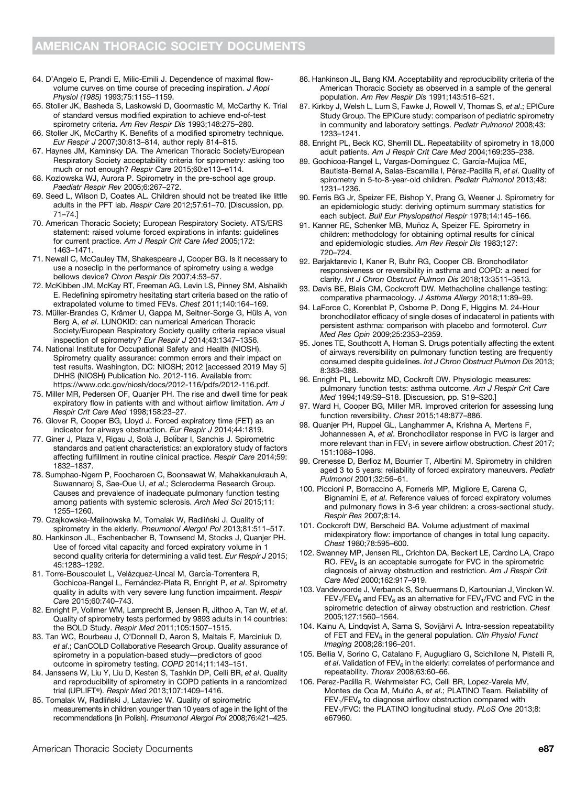- 64. D'Angelo E, Prandi E, Milic-Emili J. Dependence of maximal flowvolume curves on time course of preceding inspiration. J Appl Physiol (1985) 1993;75:1155–1159.
- 65. Stoller JK, Basheda S, Laskowski D, Goormastic M, McCarthy K. Trial of standard versus modified expiration to achieve end-of-test spirometry criteria. Am Rev Respir Dis 1993;148:275–280.
- 66. Stoller JK, McCarthy K. Benefits of a modified spirometry technique. Eur Respir J 2007;30:813–814, author reply 814–815.
- 67. Haynes JM, Kaminsky DA. The American Thoracic Society/European Respiratory Society acceptability criteria for spirometry: asking too much or not enough? Respir Care 2015;60:e113–e114.
- 68. Kozlowska WJ, Aurora P. Spirometry in the pre-school age group. Paediatr Respir Rev 2005;6:267–272.
- 69. Seed L, Wilson D, Coates AL. Children should not be treated like little adults in the PFT lab. Respir Care 2012;57:61–70. [Discussion, pp. 71–74.]
- 70. American Thoracic Society; European Respiratory Society. ATS/ERS statement: raised volume forced expirations in infants: guidelines for current practice. Am J Respir Crit Care Med 2005;172: 1463–1471.
- 71. Newall C, McCauley TM, Shakespeare J, Cooper BG. Is it necessary to use a noseclip in the performance of spirometry using a wedge bellows device? Chron Respir Dis 2007;4:53–57.
- 72. McKibben JM, McKay RT, Freeman AG, Levin LS, Pinney SM, Alshaikh E. Redefining spirometry hesitating start criteria based on the ratio of extrapolated volume to timed FEVs. Chest 2011;140:164–169.
- 73. Müller-Brandes C, Krämer U, Gappa M, Seitner-Sorge G, Hüls A, von Berg A, et al. LUNOKID: can numerical American Thoracic Society/European Respiratory Society quality criteria replace visual inspection of spirometry? Eur Respir J 2014;43:1347–1356.
- 74. National Institute for Occupational Safety and Health (NIOSH). Spirometry quality assurance: common errors and their impact on test results. Washington, DC: NIOSH; 2012 [accessed 2019 May 5] DHHS (NIOSH) Publication No. 2012-116. Available from: [https://www.cdc.gov/niosh/docs/2012-116/pdfs/2012-116.pdf.](https://www.cdc.gov/niosh/docs/2012-116/pdfs/2012-116.pdf)
- 75. Miller MR, Pedersen OF, Quanjer PH. The rise and dwell time for peak expiratory flow in patients with and without airflow limitation. Am J Respir Crit Care Med 1998;158:23–27.
- 76. Glover R, Cooper BG, Lloyd J. Forced expiratory time (FET) as an indicator for airways obstruction. Eur Respir J 2014;44:1819.
- 77. Giner J, Plaza V, Rigau J, Solà J, Bolíbar I, Sanchis J. Spirometric standards and patient characteristics: an exploratory study of factors affecting fulfillment in routine clinical practice. Respir Care 2014;59: 1832–1837.
- 78. Sumphao-Ngern P, Foocharoen C, Boonsawat W, Mahakkanukrauh A, Suwannaroj S, Sae-Oue U, et al.; Scleroderma Research Group. Causes and prevalence of inadequate pulmonary function testing among patients with systemic sclerosis. Arch Med Sci 2015;11: 1255–1260.
- 79. Czajkowska-Malinowska M, Tomalak W, Radliński J. Quality of spirometry in the elderly. Pneumonol Alergol Pol 2013;81:511–517.
- 80. Hankinson JL, Eschenbacher B, Townsend M, Stocks J, Quanjer PH. Use of forced vital capacity and forced expiratory volume in 1 second quality criteria for determining a valid test. Eur Respir J 2015; 45:1283–1292.
- 81. Torre-Bouscoulet L, Velázquez-Uncal M, García-Torrentera R, Gochicoa-Rangel L, Fernández-Plata R, Enright P, et al. Spirometry quality in adults with very severe lung function impairment. Respir Care 2015;60:740–743.
- 82. Enright P, Vollmer WM, Lamprecht B, Jensen R, Jithoo A, Tan W, et al. Quality of spirometry tests performed by 9893 adults in 14 countries: the BOLD Study. Respir Med 2011;105:1507–1515.
- 83. Tan WC, Bourbeau J, O'Donnell D, Aaron S, Maltais F, Marciniuk D, et al.; CanCOLD Collaborative Research Group. Quality assurance of spirometry in a population-based study—predictors of good outcome in spirometry testing. COPD 2014;11:143–151.
- 84. Janssens W, Liu Y, Liu D, Kesten S, Tashkin DP, Celli BR, et al. Quality and reproducibility of spirometry in COPD patients in a randomized trial (UPLIFT®). Respir Med 2013;107:1409–1416.
- 85. Tomalak W, Radliński J, Latawiec W. Quality of spirometric measurements in children younger than 10 years of age in the light of the recommendations [in Polish]. Pneumonol Alergol Pol 2008;76:421–425.
- 86. Hankinson JL, Bang KM. Acceptability and reproducibility criteria of the American Thoracic Society as observed in a sample of the general population. Am Rev Respir Dis 1991:143:516-521.
- 87. Kirkby J, Welsh L, Lum S, Fawke J, Rowell V, Thomas S, et al.; EPICure Study Group. The EPICure study: comparison of pediatric spirometry in community and laboratory settings. Pediatr Pulmonol 2008;43: 1233–1241.
- 88. Enright PL, Beck KC, Sherrill DL. Repeatability of spirometry in 18,000 adult patients. Am J Respir Crit Care Med 2004;169:235–238.
- 89. Gochicoa-Rangel L, Vargas-Domínguez C, García-Mujica ME, Bautista-Bernal A, Salas-Escamilla I, Pérez-Padilla R, et al. Quality of spirometry in 5-to-8-year-old children. Pediatr Pulmonol 2013;48: 1231–1236.
- 90. Ferris BG Jr, Speizer FE, Bishop Y, Prang G, Weener J. Spirometry for an epidemiologic study: deriving optimum summary statistics for each subject. Bull Eur Physiopathol Respir 1978;14:145–166.
- 91. Kanner RE, Schenker MB, Muñoz A, Speizer FE. Spirometry in children: methodology for obtaining optimal results for clinical and epidemiologic studies. Am Rev Respir Dis 1983;127: 720–724.
- 92. Barjaktarevic I, Kaner R, Buhr RG, Cooper CB. Bronchodilator responsiveness or reversibility in asthma and COPD: a need for clarity. Int J Chron Obstruct Pulmon Dis 2018;13:3511–3513.
- 93. Davis BE, Blais CM, Cockcroft DW. Methacholine challenge testing: comparative pharmacology. J Asthma Allergy 2018;11:89–99.
- 94. LaForce C, Korenblat P, Osborne P, Dong F, Higgins M. 24-Hour bronchodilator efficacy of single doses of indacaterol in patients with persistent asthma: comparison with placebo and formoterol. Curr Med Res Opin 2009;25:2353–2359.
- 95. Jones TE, Southcott A, Homan S. Drugs potentially affecting the extent of airways reversibility on pulmonary function testing are frequently consumed despite guidelines. Int J Chron Obstruct Pulmon Dis 2013; 8:383–388.
- 96. Enright PL, Lebowitz MD, Cockroft DW. Physiologic measures: pulmonary function tests: asthma outcome. Am J Respir Crit Care Med 1994;149:S9–S18. [Discussion, pp. S19–S20.]
- 97. Ward H, Cooper BG, Miller MR. Improved criterion for assessing lung function reversibility. Chest 2015;148:877–886.
- 98. Quanjer PH, Ruppel GL, Langhammer A, Krishna A, Mertens F, Johannessen A, et al. Bronchodilator response in FVC is larger and more relevant than in  $FEV<sub>1</sub>$  in severe airflow obstruction. Chest 2017; 151:1088–1098.
- 99. Crenesse D, Berlioz M, Bourrier T, Albertini M. Spirometry in children aged 3 to 5 years: reliability of forced expiratory maneuvers. Pediatr Pulmonol 2001;32:56–61.
- 100. Piccioni P, Borraccino A, Forneris MP, Migliore E, Carena C, Bignamini E, et al. Reference values of forced expiratory volumes and pulmonary flows in 3-6 year children: a cross-sectional study. Respir Res 2007;8:14.
- 101. Cockcroft DW, Berscheid BA. Volume adjustment of maximal midexpiratory flow: importance of changes in total lung capacity. Chest 1980;78:595–600.
- 102. Swanney MP, Jensen RL, Crichton DA, Beckert LE, Cardno LA, Crapo RO. FEV $_6$  is an acceptable surrogate for FVC in the spirometric diagnosis of airway obstruction and restriction. Am J Respir Crit Care Med 2000;162:917–919.
- 103. Vandevoorde J, Verbanck S, Schuermans D, Kartounian J, Vincken W.  $FEV<sub>1</sub>/FEV<sub>6</sub>$  and  $FEV<sub>6</sub>$  as an alternative for  $FEV<sub>1</sub>/FVC$  and  $FVC$  in the spirometric detection of airway obstruction and restriction. Chest 2005;127:1560–1564.
- 104. Kainu A, Lindqvist A, Sarna S, Sovijärvi A. Intra-session repeatability of FET and  $FEV_6$  in the general population. Clin Physiol Funct Imaging 2008;28:196–201.
- 105. Bellia V, Sorino C, Catalano F, Augugliaro G, Scichilone N, Pistelli R, et al. Validation of  $FEV<sub>6</sub>$  in the elderly: correlates of performance and repeatability. Thorax 2008;63:60–66.
- 106. Perez-Padilla R, Wehrmeister FC, Celli BR, Lopez-Varela MV, Montes de Oca M, Muiño A, et al.; PLATINO Team. Reliability of  $FEV<sub>1</sub>/FEV<sub>6</sub>$  to diagnose airflow obstruction compared with FEV<sub>1</sub>/FVC: the PLATINO longitudinal study. PLoS One 2013;8: e67960.